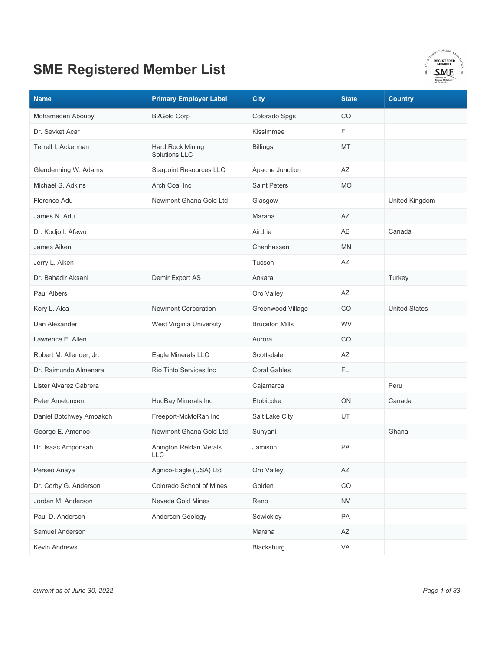

| <b>Name</b>             | <b>Primary Employer Label</b>            | <b>City</b>           | <b>State</b> | <b>Country</b>       |
|-------------------------|------------------------------------------|-----------------------|--------------|----------------------|
| Mohameden Abouby        | <b>B2Gold Corp</b>                       | Colorado Spgs         | CO           |                      |
| Dr. Sevket Acar         |                                          | Kissimmee             | FL           |                      |
| Terrell I. Ackerman     | Hard Rock Mining<br><b>Solutions LLC</b> | <b>Billings</b>       | <b>MT</b>    |                      |
| Glendenning W. Adams    | <b>Starpoint Resources LLC</b>           | Apache Junction       | AZ           |                      |
| Michael S. Adkins       | Arch Coal Inc                            | <b>Saint Peters</b>   | <b>MO</b>    |                      |
| Florence Adu            | Newmont Ghana Gold Ltd                   | Glasgow               |              | United Kingdom       |
| James N. Adu            |                                          | Marana                | AZ           |                      |
| Dr. Kodjo I. Afewu      |                                          | Airdrie               | AB           | Canada               |
| James Aiken             |                                          | Chanhassen            | MN           |                      |
| Jerry L. Aiken          |                                          | Tucson                | AZ           |                      |
| Dr. Bahadir Aksani      | Demir Export AS                          | Ankara                |              | Turkey               |
| Paul Albers             |                                          | Oro Valley            | AZ           |                      |
| Kory L. Alca            | Newmont Corporation                      | Greenwood Village     | CO           | <b>United States</b> |
| Dan Alexander           | West Virginia University                 | <b>Bruceton Mills</b> | WV           |                      |
| Lawrence E. Allen       |                                          | Aurora                | CO           |                      |
| Robert M. Allender, Jr. | Eagle Minerals LLC                       | Scottsdale            | AZ           |                      |
| Dr. Raimundo Almenara   | Rio Tinto Services Inc                   | <b>Coral Gables</b>   | FL.          |                      |
| Lister Alvarez Cabrera  |                                          | Cajamarca             |              | Peru                 |
| Peter Amelunxen         | HudBay Minerals Inc                      | Etobicoke             | ON           | Canada               |
| Daniel Botchwey Amoakoh | Freeport-McMoRan Inc                     | Salt Lake City        | UT           |                      |
| George E. Amonoo        | Newmont Ghana Gold Ltd                   | Sunyani               |              | Ghana                |
| Dr. Isaac Amponsah      | Abington Reldan Metals<br>LLC            | Jamison               | PA           |                      |
| Perseo Anaya            | Agnico-Eagle (USA) Ltd                   | Oro Valley            | AZ           |                      |
| Dr. Corby G. Anderson   | Colorado School of Mines                 | Golden                | $_{\rm CO}$  |                      |
| Jordan M. Anderson      | Nevada Gold Mines                        | Reno                  | <b>NV</b>    |                      |
| Paul D. Anderson        | Anderson Geology                         | Sewickley             | PA           |                      |
| Samuel Anderson         |                                          | Marana                | AZ           |                      |
| Kevin Andrews           |                                          | Blacksburg            | VA           |                      |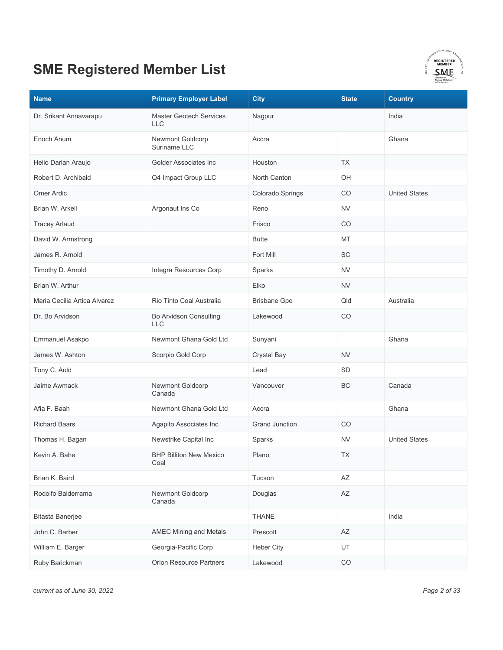

| <b>Name</b>                  | <b>Primary Employer Label</b>                | <b>City</b>           | <b>State</b>           | <b>Country</b>       |
|------------------------------|----------------------------------------------|-----------------------|------------------------|----------------------|
| Dr. Srikant Annavarapu       | <b>Master Geotech Services</b><br><b>LLC</b> | Nagpur                |                        | India                |
| Enoch Anum                   | Newmont Goldcorp<br>Suriname LLC             | Accra                 |                        | Ghana                |
| Helio Darlan Araujo          | Golder Associates Inc                        | Houston               | <b>TX</b>              |                      |
| Robert D. Archibald          | Q4 Impact Group LLC                          | North Canton          | OH                     |                      |
| Omer Ardic                   |                                              | Colorado Springs      | CO                     | <b>United States</b> |
| Brian W. Arkell              | Argonaut Ins Co                              | Reno                  | <b>NV</b>              |                      |
| <b>Tracey Arlaud</b>         |                                              | Frisco                | CO                     |                      |
| David W. Armstrong           |                                              | <b>Butte</b>          | MT                     |                      |
| James R. Arnold              |                                              | Fort Mill             | SC                     |                      |
| Timothy D. Arnold            | Integra Resources Corp                       | Sparks                | <b>NV</b>              |                      |
| Brian W. Arthur              |                                              | Elko                  | <b>NV</b>              |                      |
| Maria Cecilia Artica Alvarez | Rio Tinto Coal Australia                     | <b>Brisbane Gpo</b>   | Qld                    | Australia            |
| Dr. Bo Arvidson              | Bo Arvidson Consulting<br><b>LLC</b>         | Lakewood              | CO                     |                      |
| Emmanuel Asakpo              | Newmont Ghana Gold Ltd                       | Sunyani               |                        | Ghana                |
| James W. Ashton              | Scorpio Gold Corp                            | Crystal Bay           | <b>NV</b>              |                      |
| Tony C. Auld                 |                                              | Lead                  | <b>SD</b>              |                      |
| Jaime Awmack                 | Newmont Goldcorp<br>Canada                   | Vancouver             | BC                     | Canada               |
| Afia F. Baah                 | Newmont Ghana Gold Ltd                       | Accra                 |                        | Ghana                |
| <b>Richard Baars</b>         | Agapito Associates Inc                       | <b>Grand Junction</b> | CO                     |                      |
| Thomas H. Bagan              | Newstrike Capital Inc                        | Sparks                | <b>NV</b>              | <b>United States</b> |
| Kevin A. Bahe                | <b>BHP Billiton New Mexico</b><br>Coal       | Plano                 | TX                     |                      |
| Brian K. Baird               |                                              | Tucson                | AZ                     |                      |
| Rodolfo Balderrama           | Newmont Goldcorp<br>Canada                   | Douglas               | $\mathsf{A}\mathsf{Z}$ |                      |
| <b>Bitasta Banerjee</b>      |                                              | THANE                 |                        | India                |
| John C. Barber               | <b>AMEC Mining and Metals</b>                | Prescott              | AZ                     |                      |
| William E. Barger            | Georgia-Pacific Corp                         | <b>Heber City</b>     | UT                     |                      |
| Ruby Barickman               | <b>Orion Resource Partners</b>               | Lakewood              | $_{\rm CO}$            |                      |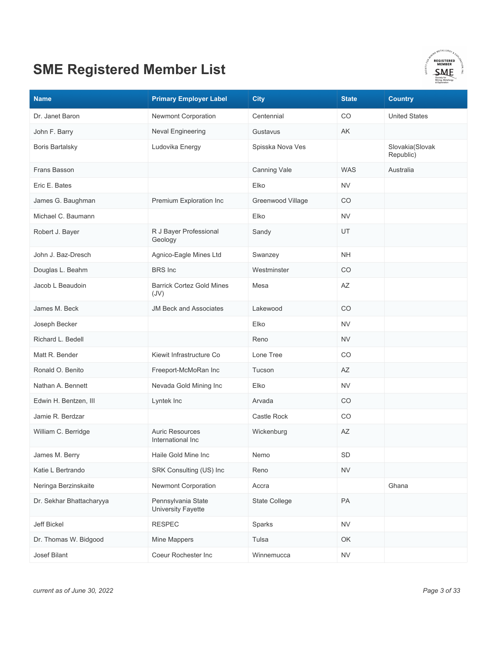

| <b>Name</b>              | <b>Primary Employer Label</b>               | <b>City</b>       | <b>State</b> | <b>Country</b>               |
|--------------------------|---------------------------------------------|-------------------|--------------|------------------------------|
| Dr. Janet Baron          | Newmont Corporation                         | Centennial        | CO           | <b>United States</b>         |
| John F. Barry            | Neval Engineering                           | Gustavus          | AK           |                              |
| <b>Boris Bartalsky</b>   | Ludovika Energy                             | Spisska Nova Ves  |              | Slovakia(Slovak<br>Republic) |
| Frans Basson             |                                             | Canning Vale      | <b>WAS</b>   | Australia                    |
| Eric E. Bates            |                                             | Elko              | <b>NV</b>    |                              |
| James G. Baughman        | Premium Exploration Inc                     | Greenwood Village | CO           |                              |
| Michael C. Baumann       |                                             | Elko              | <b>NV</b>    |                              |
| Robert J. Bayer          | R J Bayer Professional<br>Geology           | Sandy             | UT           |                              |
| John J. Baz-Dresch       | Agnico-Eagle Mines Ltd                      | Swanzey           | <b>NH</b>    |                              |
| Douglas L. Beahm         | <b>BRS</b> Inc                              | Westminster       | CO           |                              |
| Jacob L Beaudoin         | <b>Barrick Cortez Gold Mines</b><br>(JV)    | Mesa              | AZ           |                              |
| James M. Beck            | <b>JM Beck and Associates</b>               | Lakewood          | CO           |                              |
| Joseph Becker            |                                             | Elko              | <b>NV</b>    |                              |
| Richard L. Bedell        |                                             | Reno              | <b>NV</b>    |                              |
| Matt R. Bender           | Kiewit Infrastructure Co                    | Lone Tree         | CO           |                              |
| Ronald O. Benito         | Freeport-McMoRan Inc                        | Tucson            | AZ           |                              |
| Nathan A. Bennett        | Nevada Gold Mining Inc                      | Elko              | <b>NV</b>    |                              |
| Edwin H. Bentzen, III    | Lyntek Inc                                  | Arvada            | CO           |                              |
| Jamie R. Berdzar         |                                             | Castle Rock       | CO           |                              |
| William C. Berridge      | <b>Auric Resources</b><br>International Inc | Wickenburg        | AZ           |                              |
| James M. Berry           | Haile Gold Mine Inc                         | Nemo              | SD           |                              |
| Katie L Bertrando        | SRK Consulting (US) Inc                     | Reno              | <b>NV</b>    |                              |
| Neringa Berzinskaite     | Newmont Corporation                         | Accra             |              | Ghana                        |
| Dr. Sekhar Bhattacharyya | Pennsylvania State<br>University Fayette    | State College     | PA           |                              |
| Jeff Bickel              | <b>RESPEC</b>                               | Sparks            | <b>NV</b>    |                              |
| Dr. Thomas W. Bidgood    | Mine Mappers                                | Tulsa             | OK           |                              |
| Josef Bilant             | Coeur Rochester Inc                         | Winnemucca        | <b>NV</b>    |                              |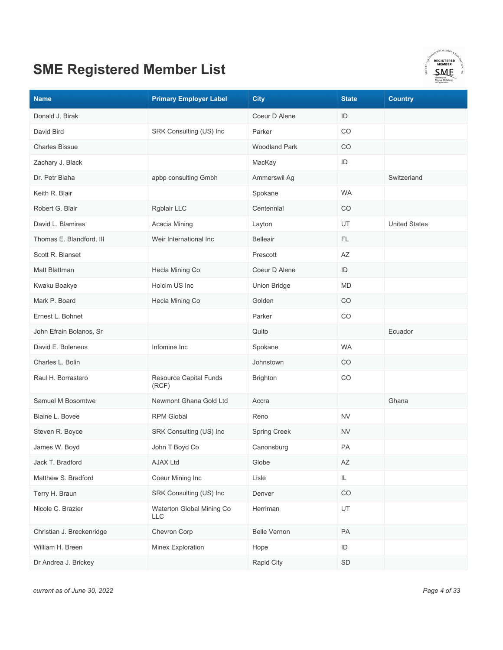

| <b>Name</b>               | <b>Primary Employer Label</b>    | <b>City</b>          | <b>State</b> | <b>Country</b>       |
|---------------------------|----------------------------------|----------------------|--------------|----------------------|
| Donald J. Birak           |                                  | Coeur D Alene        | ID           |                      |
| David Bird                | SRK Consulting (US) Inc          | Parker               | CO           |                      |
| <b>Charles Bissue</b>     |                                  | <b>Woodland Park</b> | CO           |                      |
| Zachary J. Black          |                                  | MacKay               | ID           |                      |
| Dr. Petr Blaha            | apbp consulting Gmbh             | Ammerswil Ag         |              | Switzerland          |
| Keith R. Blair            |                                  | Spokane              | <b>WA</b>    |                      |
| Robert G. Blair           | Rgblair LLC                      | Centennial           | CO           |                      |
| David L. Blamires         | Acacia Mining                    | Layton               | UT           | <b>United States</b> |
| Thomas E. Blandford, III  | Weir International Inc           | <b>Belleair</b>      | FL.          |                      |
| Scott R. Blanset          |                                  | Prescott             | AZ           |                      |
| Matt Blattman             | Hecla Mining Co                  | Coeur D Alene        | ID           |                      |
| Kwaku Boakye              | Holcim US Inc                    | <b>Union Bridge</b>  | <b>MD</b>    |                      |
| Mark P. Board             | Hecla Mining Co                  | Golden               | CO           |                      |
| Ernest L. Bohnet          |                                  | Parker               | CO           |                      |
| John Efrain Bolanos, Sr   |                                  | Quito                |              | Ecuador              |
| David E. Boleneus         | Infomine Inc                     | Spokane              | <b>WA</b>    |                      |
| Charles L. Bolin          |                                  | Johnstown            | CO           |                      |
| Raul H. Borrastero        | Resource Capital Funds<br>(RCF)  | <b>Brighton</b>      | CO           |                      |
| Samuel M Bosomtwe         | Newmont Ghana Gold Ltd           | Accra                |              | Ghana                |
| Blaine L. Bovee           | <b>RPM Global</b>                | Reno                 | <b>NV</b>    |                      |
| Steven R. Boyce           | SRK Consulting (US) Inc          | Spring Creek         | <b>NV</b>    |                      |
| James W. Boyd             | John T Boyd Co                   | Canonsburg           | PA           |                      |
| Jack T. Bradford          | <b>AJAX Ltd</b>                  | Globe                | AZ           |                      |
| Matthew S. Bradford       | Coeur Mining Inc                 | Lisle                | IL.          |                      |
| Terry H. Braun            | SRK Consulting (US) Inc          | Denver               | CO           |                      |
| Nicole C. Brazier         | Waterton Global Mining Co<br>LLC | Herriman             | UT           |                      |
| Christian J. Breckenridge | Chevron Corp                     | <b>Belle Vernon</b>  | PA           |                      |
| William H. Breen          | Minex Exploration                | Hope                 | ID           |                      |
| Dr Andrea J. Brickey      |                                  | Rapid City           | SD           |                      |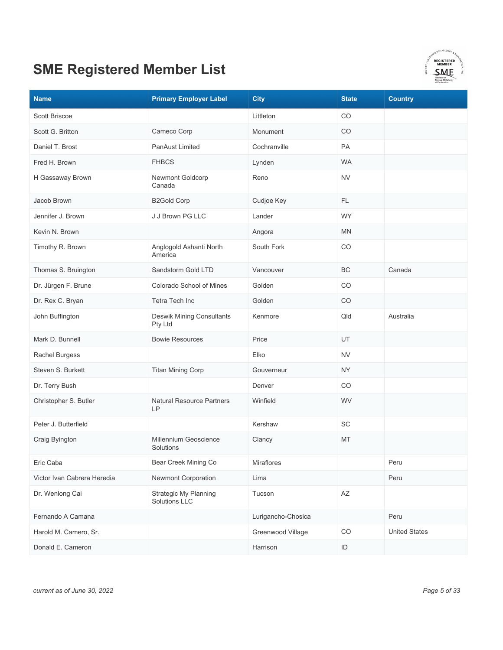

| <b>Name</b>                 | <b>Primary Employer Label</b>                        | <b>City</b>        | <b>State</b>           | <b>Country</b>       |
|-----------------------------|------------------------------------------------------|--------------------|------------------------|----------------------|
| Scott Briscoe               |                                                      | Littleton          | CO                     |                      |
| Scott G. Britton            | Cameco Corp                                          | Monument           | CO                     |                      |
| Daniel T. Brost             | <b>PanAust Limited</b>                               | Cochranville       | PA                     |                      |
| Fred H. Brown               | <b>FHBCS</b>                                         | Lynden             | <b>WA</b>              |                      |
| H Gassaway Brown            | Newmont Goldcorp<br>Canada                           | Reno               | <b>NV</b>              |                      |
| Jacob Brown                 | <b>B2Gold Corp</b>                                   | Cudjoe Key         | FL.                    |                      |
| Jennifer J. Brown           | J J Brown PG LLC                                     | Lander             | <b>WY</b>              |                      |
| Kevin N. Brown              |                                                      | Angora             | <b>MN</b>              |                      |
| Timothy R. Brown            | Anglogold Ashanti North<br>America                   | South Fork         | CO                     |                      |
| Thomas S. Bruington         | Sandstorm Gold LTD                                   | Vancouver          | <b>BC</b>              | Canada               |
| Dr. Jürgen F. Brune         | Colorado School of Mines                             | Golden             | CO                     |                      |
| Dr. Rex C. Bryan            | <b>Tetra Tech Inc</b>                                | Golden             | CO                     |                      |
| John Buffington             | <b>Deswik Mining Consultants</b><br>Pty Ltd          | Kenmore            | Qld                    | Australia            |
| Mark D. Bunnell             | <b>Bowie Resources</b>                               | Price              | <b>UT</b>              |                      |
| <b>Rachel Burgess</b>       |                                                      | Elko               | <b>NV</b>              |                      |
| Steven S. Burkett           | <b>Titan Mining Corp</b>                             | Gouverneur         | <b>NY</b>              |                      |
| Dr. Terry Bush              |                                                      | Denver             | CO                     |                      |
| Christopher S. Butler       | <b>Natural Resource Partners</b><br>LP               | Winfield           | WV                     |                      |
| Peter J. Butterfield        |                                                      | Kershaw            | SC                     |                      |
| Craig Byington              | Millennium Geoscience<br>Solutions                   | Clancy             | MT                     |                      |
| Eric Caba                   | Bear Creek Mining Co                                 | Miraflores         |                        | Peru                 |
| Victor Ivan Cabrera Heredia | Newmont Corporation                                  | Lima               |                        | Peru                 |
| Dr. Wenlong Cai             | <b>Strategic My Planning</b><br><b>Solutions LLC</b> | Tucson             | $\mathsf{A}\mathsf{Z}$ |                      |
| Fernando A Camana           |                                                      | Lurigancho-Chosica |                        | Peru                 |
| Harold M. Camero, Sr.       |                                                      | Greenwood Village  | CO                     | <b>United States</b> |
| Donald E. Cameron           |                                                      | Harrison           | $\mathsf{ID}$          |                      |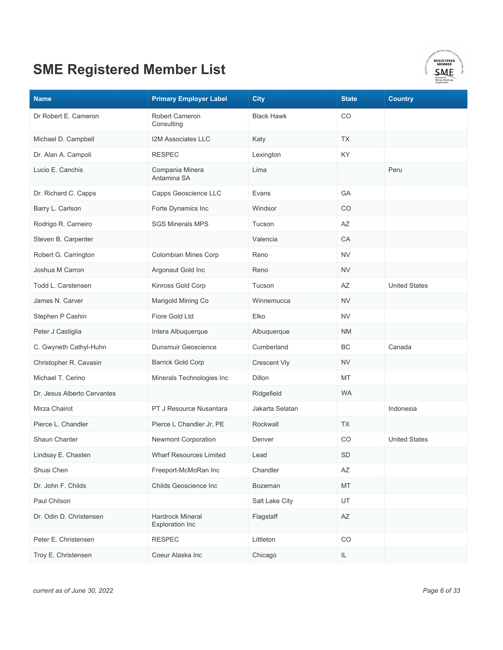

| <b>Name</b>                 | <b>Primary Employer Label</b>                     | <b>City</b>       | <b>State</b> | <b>Country</b>       |
|-----------------------------|---------------------------------------------------|-------------------|--------------|----------------------|
| Dr Robert E. Cameron        | Robert Cameron<br>Consulting                      | <b>Black Hawk</b> | CO           |                      |
| Michael D. Campbell         | <b>I2M Associates LLC</b>                         | Katy              | <b>TX</b>    |                      |
| Dr. Alan A. Campoli         | <b>RESPEC</b>                                     | Lexington         | KY           |                      |
| Lucio E. Canchis            | Compania Minera<br>Antamina SA                    | Lima              |              | Peru                 |
| Dr. Richard C. Capps        | Capps Geoscience LLC                              | Evans             | GA           |                      |
| Barry L. Carlson            | Forte Dynamics Inc                                | Windsor           | CO           |                      |
| Rodrigo R. Carneiro         | <b>SGS Minerals MPS</b>                           | Tucson            | AZ           |                      |
| Steven B. Carpenter         |                                                   | Valencia          | CA           |                      |
| Robert G. Carrington        | Colombian Mines Corp                              | Reno              | <b>NV</b>    |                      |
| Joshua M Carron             | Argonaut Gold Inc                                 | Reno              | <b>NV</b>    |                      |
| Todd L. Carstensen          | Kinross Gold Corp                                 | Tucson            | AΖ           | <b>United States</b> |
| James N. Carver             | Marigold Mining Co                                | Winnemucca        | NV           |                      |
| Stephen P Cashin            | Fiore Gold Ltd                                    | Elko              | <b>NV</b>    |                      |
| Peter J Castiglia           | Intera Albuquerque                                | Albuquerque       | <b>NM</b>    |                      |
| C. Gwyneth Cathyl-Huhn      | Dunsmuir Geoscience                               | Cumberland        | ВC           | Canada               |
| Christopher R. Cavasin      | <b>Barrick Gold Corp</b>                          | Crescent Vly      | <b>NV</b>    |                      |
| Michael T. Cerino           | Minerals Technologies Inc                         | Dillon            | MT           |                      |
| Dr. Jesus Alberto Cervantes |                                                   | Ridgefield        | <b>WA</b>    |                      |
| Mirza Chairot               | PT J Resource Nusantara                           | Jakarta Selatan   |              | Indonesia            |
| Pierce L. Chandler          | Pierce L Chandler Jr, PE                          | Rockwall          | <b>TX</b>    |                      |
| Shaun Chanter               | Newmont Corporation                               | Denver            | CO           | <b>United States</b> |
| Lindsay E. Chasten          | <b>Wharf Resources Limited</b>                    | Lead              | <b>SD</b>    |                      |
| Shuai Chen                  | Freeport-McMoRan Inc                              | Chandler          | AZ           |                      |
| Dr. John F. Childs          | Childs Geoscience Inc                             | Bozeman           | MT           |                      |
| Paul Chilson                |                                                   | Salt Lake City    | UT           |                      |
| Dr. Odin D. Christensen     | <b>Hardrock Mineral</b><br><b>Exploration Inc</b> | Flagstaff         | AZ           |                      |
| Peter E. Christensen        | <b>RESPEC</b>                                     | Littleton         | CO           |                      |
| Troy E. Christensen         | Coeur Alaska Inc                                  | Chicago           | IL.          |                      |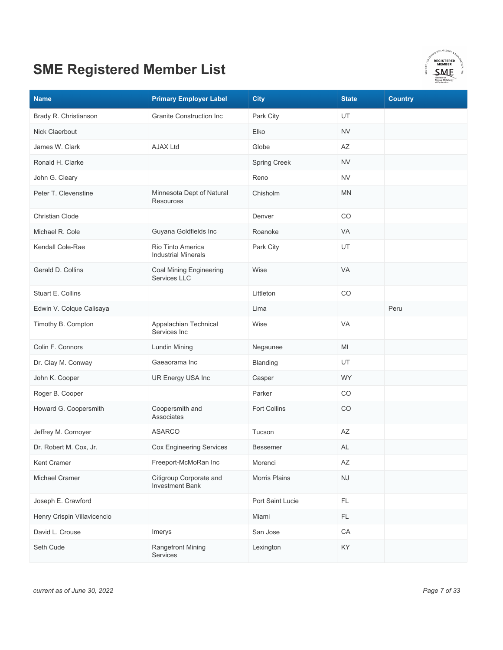

| <b>Name</b>                 | <b>Primary Employer Label</b>                     | <b>City</b>         | <b>State</b>           | <b>Country</b> |
|-----------------------------|---------------------------------------------------|---------------------|------------------------|----------------|
| Brady R. Christianson       | <b>Granite Construction Inc</b>                   | Park City           | UT                     |                |
| Nick Claerbout              |                                                   | Elko                | <b>NV</b>              |                |
| James W. Clark              | <b>AJAX Ltd</b>                                   | Globe               | AZ                     |                |
| Ronald H. Clarke            |                                                   | Spring Creek        | <b>NV</b>              |                |
| John G. Cleary              |                                                   | Reno                | <b>NV</b>              |                |
| Peter T. Clevenstine        | Minnesota Dept of Natural<br><b>Resources</b>     | Chisholm            | <b>MN</b>              |                |
| <b>Christian Clode</b>      |                                                   | Denver              | CO                     |                |
| Michael R. Cole             | Guyana Goldfields Inc                             | Roanoke             | VA                     |                |
| Kendall Cole-Rae            | Rio Tinto America<br><b>Industrial Minerals</b>   | Park City           | UT                     |                |
| Gerald D. Collins           | <b>Coal Mining Engineering</b><br>Services LLC    | Wise                | VA                     |                |
| Stuart E. Collins           |                                                   | Littleton           | CO                     |                |
| Edwin V. Colque Calisaya    |                                                   | Lima                |                        | Peru           |
| Timothy B. Compton          | Appalachian Technical<br>Services Inc             | Wise                | <b>VA</b>              |                |
| Colin F. Connors            | Lundin Mining                                     | Negaunee            | MI                     |                |
| Dr. Clay M. Conway          | Gaeaorama Inc                                     | Blanding            | UT                     |                |
| John K. Cooper              | UR Energy USA Inc                                 | Casper              | WY.                    |                |
| Roger B. Cooper             |                                                   | Parker              | CO                     |                |
| Howard G. Coopersmith       | Coopersmith and<br>Associates                     | <b>Fort Collins</b> | CO                     |                |
| Jeffrey M. Cornoyer         | <b>ASARCO</b>                                     | Tucson              | AZ                     |                |
| Dr. Robert M. Cox, Jr.      | <b>Cox Engineering Services</b>                   | <b>Bessemer</b>     | <b>AL</b>              |                |
| Kent Cramer                 | Freeport-McMoRan Inc                              | Morenci             | AZ                     |                |
| Michael Cramer              | Citigroup Corporate and<br><b>Investment Bank</b> | Morris Plains       | $\mathsf{N}\mathsf{J}$ |                |
| Joseph E. Crawford          |                                                   | Port Saint Lucie    | FL                     |                |
| Henry Crispin Villavicencio |                                                   | Miami               | FL                     |                |
| David L. Crouse             | Imerys                                            | San Jose            | ${\sf CA}$             |                |
| Seth Cude                   | <b>Rangefront Mining</b><br>Services              | Lexington           | KY                     |                |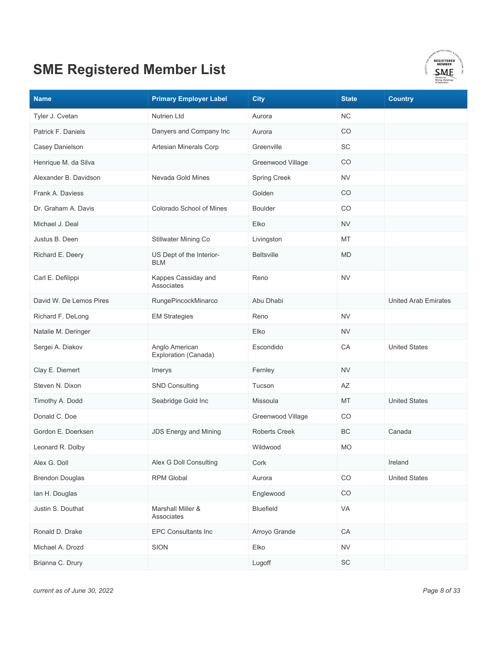

| <b>Name</b>             | <b>Primary Employer Label</b>          | <b>City</b>          | <b>State</b> | <b>Country</b>              |
|-------------------------|----------------------------------------|----------------------|--------------|-----------------------------|
| Tyler J. Cvetan         | <b>Nutrien Ltd</b>                     | Aurora               | <b>NC</b>    |                             |
| Patrick F. Daniels      | Danyers and Company Inc                | Aurora               | CO           |                             |
| Casey Danielson         | Artesian Minerals Corp                 | Greenville           | SC           |                             |
| Henrique M. da Silva    |                                        | Greenwood Village    | CO           |                             |
| Alexander B. Davidson   | Nevada Gold Mines                      | Spring Creek         | <b>NV</b>    |                             |
| Frank A. Daviess        |                                        | Golden               | CO           |                             |
| Dr. Graham A. Davis     | Colorado School of Mines               | <b>Boulder</b>       | CO           |                             |
| Michael J. Deal         |                                        | Elko                 | <b>NV</b>    |                             |
| Justus B. Deen          | Stillwater Mining Co                   | Livingston           | MT           |                             |
| Richard E. Deery        | US Dept of the Interior-<br><b>BLM</b> | <b>Beltsville</b>    | <b>MD</b>    |                             |
| Carl E. Defilippi       | Kappes Cassiday and<br>Associates      | Reno                 | <b>NV</b>    |                             |
| David W. De Lemos Pires | RungePincockMinarco                    | Abu Dhabi            |              | <b>United Arab Emirates</b> |
| Richard F. DeLong       | <b>EM Strategies</b>                   | Reno                 | <b>NV</b>    |                             |
| Natalie M. Deringer     |                                        | Elko                 | <b>NV</b>    |                             |
| Sergei A. Diakov        | Anglo American<br>Exploration (Canada) | Escondido            | CA           | <b>United States</b>        |
| Clay E. Diemert         | Imerys                                 | Fernley              | <b>NV</b>    |                             |
| Steven N. Dixon         | <b>SND Consulting</b>                  | Tucson               | AZ           |                             |
| Timothy A. Dodd         | Seabridge Gold Inc                     | Missoula             | MT           | <b>United States</b>        |
| Donald C. Doe           |                                        | Greenwood Village    | CO           |                             |
| Gordon E. Doerksen      | <b>JDS Energy and Mining</b>           | <b>Roberts Creek</b> | BC           | Canada                      |
| Leonard R. Dolby        |                                        | Wildwood             | <b>MO</b>    |                             |
| Alex G. Doll            | Alex G Doll Consulting                 | Cork                 |              | Ireland                     |
| <b>Brendon Douglas</b>  | <b>RPM Global</b>                      | Aurora               | CO           | <b>United States</b>        |
| lan H. Douglas          |                                        | Englewood            | CO           |                             |
| Justin S. Douthat       | Marshall Miller &<br>Associates        | Bluefield            | VA           |                             |
| Ronald D. Drake         | <b>EPC Consultants Inc</b>             | Arroyo Grande        | CA           |                             |
| Michael A. Drozd        | SION                                   | Elko                 | <b>NV</b>    |                             |
| Brianna C. Drury        |                                        | Lugoff               | SC           |                             |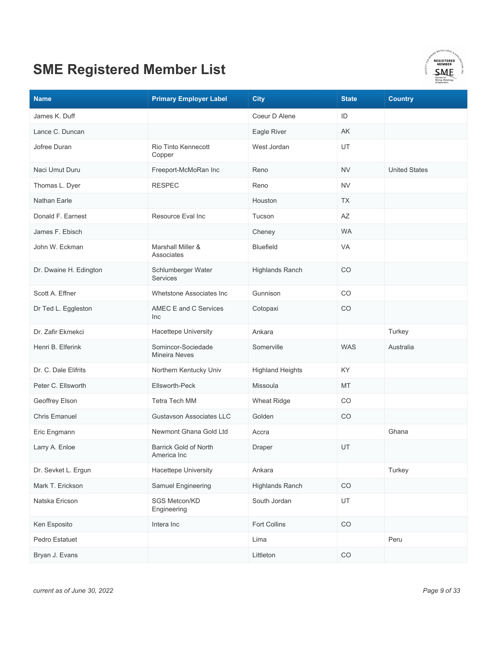

| <b>Name</b>            | <b>Primary Employer Label</b>               | <b>City</b>             | <b>State</b> | <b>Country</b>       |
|------------------------|---------------------------------------------|-------------------------|--------------|----------------------|
| James K. Duff          |                                             | Coeur D Alene           | ID           |                      |
| Lance C. Duncan        |                                             | Eagle River             | AK           |                      |
| Jofree Duran           | Rio Tinto Kennecott<br>Copper               | West Jordan             | UT           |                      |
| Naci Umut Duru         | Freeport-McMoRan Inc                        | Reno                    | <b>NV</b>    | <b>United States</b> |
| Thomas L. Dyer         | <b>RESPEC</b>                               | Reno                    | <b>NV</b>    |                      |
| Nathan Earle           |                                             | Houston                 | <b>TX</b>    |                      |
| Donald F. Earnest      | Resource Eval Inc                           | Tucson                  | AZ           |                      |
| James F. Ebisch        |                                             | Cheney                  | <b>WA</b>    |                      |
| John W. Eckman         | Marshall Miller &<br>Associates             | Bluefield               | VA           |                      |
| Dr. Dwaine H. Edington | Schlumberger Water<br><b>Services</b>       | Highlands Ranch         | CO           |                      |
| Scott A. Effner        | Whetstone Associates Inc                    | Gunnison                | CO           |                      |
| Dr Ted L. Eggleston    | AMEC E and C Services<br>Inc                | Cotopaxi                | CO           |                      |
| Dr. Zafir Ekmekci      | Hacettepe University                        | Ankara                  |              | Turkey               |
| Henri B. Elferink      | Somincor-Sociedade<br><b>Mineira Neves</b>  | Somerville              | <b>WAS</b>   | Australia            |
| Dr. C. Dale Elifrits   | Northern Kentucky Univ                      | <b>Highland Heights</b> | KY.          |                      |
| Peter C. Ellsworth     | Ellsworth-Peck                              | Missoula                | MT           |                      |
| Geoffrey Elson         | Tetra Tech MM                               | <b>Wheat Ridge</b>      | CO           |                      |
| <b>Chris Emanuel</b>   | Gustavson Associates LLC                    | Golden                  | CO           |                      |
| Eric Engmann           | Newmont Ghana Gold Ltd                      | Accra                   |              | Ghana                |
| Larry A. Enloe         | <b>Barrick Gold of North</b><br>America Inc | Draper                  | UT           |                      |
| Dr. Sevket L. Ergun    | Hacettepe University                        | Ankara                  |              | Turkey               |
| Mark T. Erickson       | Samuel Engineering                          | <b>Highlands Ranch</b>  | $_{\rm CO}$  |                      |
| Natska Ericson         | SGS Metcon/KD<br>Engineering                | South Jordan            | UT           |                      |
| Ken Esposito           | Intera Inc                                  | Fort Collins            | $_{\rm CO}$  |                      |
| Pedro Estatuet         |                                             | Lima                    |              | Peru                 |
| Bryan J. Evans         |                                             | Littleton               | $_{\rm CO}$  |                      |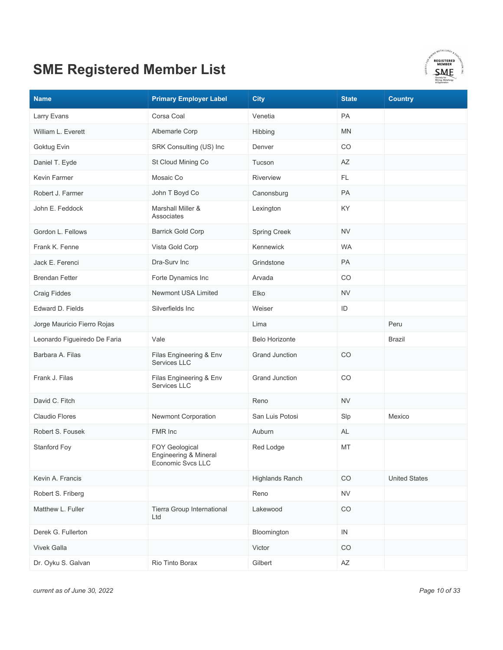

| <b>Name</b>                  | <b>Primary Employer Label</b>                                       | <b>City</b>            | <b>State</b> | <b>Country</b>       |
|------------------------------|---------------------------------------------------------------------|------------------------|--------------|----------------------|
| Larry Evans                  | Corsa Coal                                                          | Venetia                | PA           |                      |
| William L. Everett           | Albemarle Corp                                                      | Hibbing                | <b>MN</b>    |                      |
| Goktug Evin                  | SRK Consulting (US) Inc                                             | Denver                 | CO           |                      |
| Daniel T. Eyde               | St Cloud Mining Co                                                  | Tucson                 | ΑZ           |                      |
| Kevin Farmer                 | Mosaic Co                                                           | Riverview              | FL.          |                      |
| Robert J. Farmer             | John T Boyd Co                                                      | Canonsburg             | PA           |                      |
| John E. Feddock              | Marshall Miller &<br>Associates                                     | Lexington              | KY           |                      |
| Gordon L. Fellows            | <b>Barrick Gold Corp</b>                                            | <b>Spring Creek</b>    | <b>NV</b>    |                      |
| Frank K. Fenne               | Vista Gold Corp                                                     | Kennewick              | <b>WA</b>    |                      |
| Jack E. Ferenci              | Dra-Surv Inc                                                        | Grindstone             | PA           |                      |
| <b>Brendan Fetter</b>        | Forte Dynamics Inc                                                  | Arvada                 | CO           |                      |
| <b>Craig Fiddes</b>          | Newmont USA Limited                                                 | Elko                   | <b>NV</b>    |                      |
| Edward D. Fields             | Silverfields Inc                                                    | Weiser                 | ID           |                      |
| Jorge Mauricio Fierro Rojas  |                                                                     | Lima                   |              | Peru                 |
| Leonardo Figueiredo De Faria | Vale                                                                | <b>Belo Horizonte</b>  |              | <b>Brazil</b>        |
| Barbara A. Filas             | Filas Engineering & Env<br>Services LLC                             | <b>Grand Junction</b>  | CO           |                      |
| Frank J. Filas               | Filas Engineering & Env<br>Services LLC                             | <b>Grand Junction</b>  | CO           |                      |
| David C. Fitch               |                                                                     | Reno                   | <b>NV</b>    |                      |
| <b>Claudio Flores</b>        | Newmont Corporation                                                 | San Luis Potosi        | Slp          | Mexico               |
| Robert S. Fousek             | FMR Inc                                                             | Auburn                 | AL           |                      |
| Stanford Foy                 | <b>FOY Geological</b><br>Engineering & Mineral<br>Economic Svcs LLC | Red Lodge              | MT           |                      |
| Kevin A. Francis             |                                                                     | <b>Highlands Ranch</b> | CO           | <b>United States</b> |
| Robert S. Friberg            |                                                                     | Reno                   | ${\sf NV}$   |                      |
| Matthew L. Fuller            | Tierra Group International<br>Ltd                                   | Lakewood               | CO           |                      |
| Derek G. Fullerton           |                                                                     | Bloomington            | IN           |                      |
| <b>Vivek Galla</b>           |                                                                     | Victor                 | CO           |                      |
| Dr. Oyku S. Galvan           | Rio Tinto Borax                                                     | Gilbert                | AZ           |                      |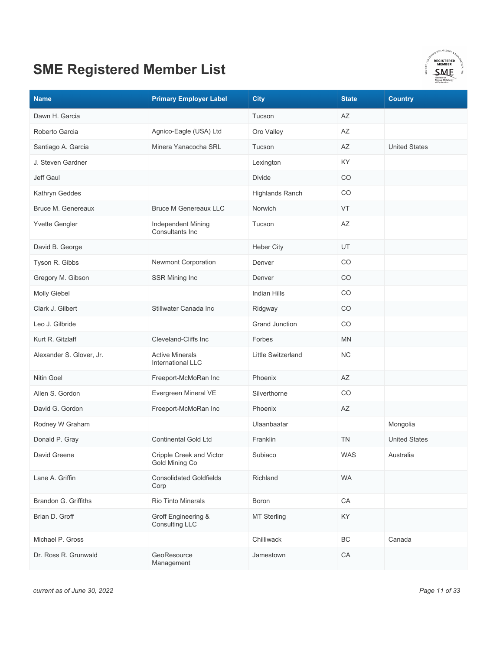

| <b>Name</b>              | <b>Primary Employer Label</b>                      | <b>City</b>            | <b>State</b> | <b>Country</b>       |
|--------------------------|----------------------------------------------------|------------------------|--------------|----------------------|
| Dawn H. Garcia           |                                                    | Tucson                 | AZ           |                      |
| Roberto Garcia           | Agnico-Eagle (USA) Ltd                             | Oro Valley             | AZ           |                      |
| Santiago A. Garcia       | Minera Yanacocha SRL                               | Tucson                 | AZ           | <b>United States</b> |
| J. Steven Gardner        |                                                    | Lexington              | KY           |                      |
| Jeff Gaul                |                                                    | <b>Divide</b>          | CO           |                      |
| Kathryn Geddes           |                                                    | <b>Highlands Ranch</b> | CO           |                      |
| Bruce M. Genereaux       | <b>Bruce M Genereaux LLC</b>                       | Norwich                | VT           |                      |
| Yvette Gengler           | Independent Mining<br>Consultants Inc              | Tucson                 | AZ           |                      |
| David B. George          |                                                    | <b>Heber City</b>      | UT           |                      |
| Tyson R. Gibbs           | Newmont Corporation                                | Denver                 | CO           |                      |
| Gregory M. Gibson        | SSR Mining Inc                                     | Denver                 | CO           |                      |
| Molly Giebel             |                                                    | Indian Hills           | CO           |                      |
| Clark J. Gilbert         | Stillwater Canada Inc                              | Ridgway                | CO           |                      |
| Leo J. Gilbride          |                                                    | <b>Grand Junction</b>  | CO           |                      |
| Kurt R. Gitzlaff         | Cleveland-Cliffs Inc                               | Forbes                 | MN           |                      |
| Alexander S. Glover, Jr. | <b>Active Minerals</b><br><b>International LLC</b> | Little Switzerland     | <b>NC</b>    |                      |
| <b>Nitin Goel</b>        | Freeport-McMoRan Inc                               | Phoenix                | AZ           |                      |
| Allen S. Gordon          | Evergreen Mineral VE                               | Silverthorne           | CO           |                      |
| David G. Gordon          | Freeport-McMoRan Inc                               | Phoenix                | ΑZ           |                      |
| Rodney W Graham          |                                                    | Ulaanbaatar            |              | Mongolia             |
| Donald P. Gray           | <b>Continental Gold Ltd</b>                        | Franklin               | <b>TN</b>    | <b>United States</b> |
| David Greene             | Cripple Creek and Victor<br>Gold Mining Co         | Subiaco                | WAS          | Australia            |
| Lane A. Griffin          | <b>Consolidated Goldfields</b><br>Corp             | Richland               | <b>WA</b>    |                      |
| Brandon G. Griffiths     | <b>Rio Tinto Minerals</b>                          | Boron                  | ${\sf CA}$   |                      |
| Brian D. Groff           | Groff Engineering &<br>Consulting LLC              | <b>MT Sterling</b>     | KY           |                      |
| Michael P. Gross         |                                                    | Chilliwack             | ВC           | Canada               |
| Dr. Ross R. Grunwald     | GeoResource<br>Management                          | Jamestown              | CA           |                      |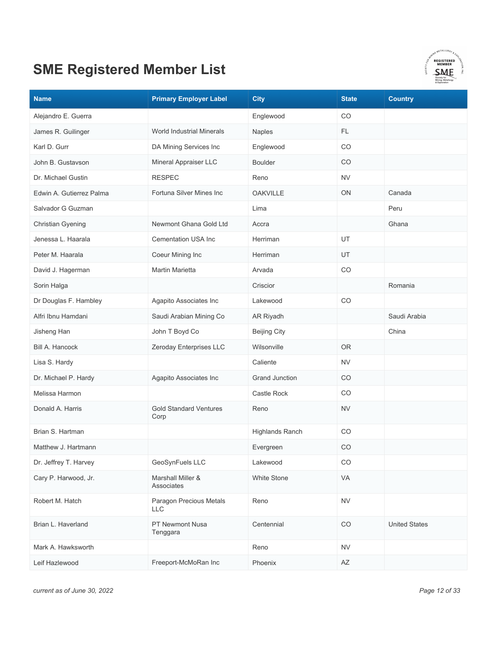

| <b>Name</b>              | <b>Primary Employer Label</b>         | <b>City</b>            | <b>State</b> | <b>Country</b>       |
|--------------------------|---------------------------------------|------------------------|--------------|----------------------|
| Alejandro E. Guerra      |                                       | Englewood              | CO           |                      |
| James R. Guilinger       | World Industrial Minerals             | Naples                 | FL.          |                      |
| Karl D. Gurr             | DA Mining Services Inc                | Englewood              | CO           |                      |
| John B. Gustavson        | Mineral Appraiser LLC                 | <b>Boulder</b>         | CO           |                      |
| Dr. Michael Gustin       | <b>RESPEC</b>                         | Reno                   | <b>NV</b>    |                      |
| Edwin A. Gutierrez Palma | Fortuna Silver Mines Inc              | <b>OAKVILLE</b>        | <b>ON</b>    | Canada               |
| Salvador G Guzman        |                                       | Lima                   |              | Peru                 |
| <b>Christian Gyening</b> | Newmont Ghana Gold Ltd                | Accra                  |              | Ghana                |
| Jenessa L. Haarala       | <b>Cementation USA Inc</b>            | Herriman               | UT           |                      |
| Peter M. Haarala         | Coeur Mining Inc                      | Herriman               | UT           |                      |
| David J. Hagerman        | <b>Martin Marietta</b>                | Arvada                 | CO           |                      |
| Sorin Halga              |                                       | Criscior               |              | Romania              |
| Dr Douglas F. Hambley    | Agapito Associates Inc                | Lakewood               | CO           |                      |
| Alfri Ibnu Hamdani       | Saudi Arabian Mining Co               | AR Riyadh              |              | Saudi Arabia         |
| Jisheng Han              | John T Boyd Co                        | <b>Beijing City</b>    |              | China                |
| Bill A. Hancock          | Zeroday Enterprises LLC               | Wilsonville            | <b>OR</b>    |                      |
| Lisa S. Hardy            |                                       | Caliente               | <b>NV</b>    |                      |
| Dr. Michael P. Hardy     | Agapito Associates Inc                | <b>Grand Junction</b>  | CO           |                      |
| Melissa Harmon           |                                       | Castle Rock            | CO           |                      |
| Donald A. Harris         | <b>Gold Standard Ventures</b><br>Corp | Reno                   | <b>NV</b>    |                      |
| Brian S. Hartman         |                                       | <b>Highlands Ranch</b> | CO           |                      |
| Matthew J. Hartmann      |                                       | Evergreen              | CO           |                      |
| Dr. Jeffrey T. Harvey    | GeoSynFuels LLC                       | Lakewood               | CO           |                      |
| Cary P. Harwood, Jr.     | Marshall Miller &<br>Associates       | <b>White Stone</b>     | VA           |                      |
| Robert M. Hatch          | Paragon Precious Metals<br><b>LLC</b> | Reno                   | <b>NV</b>    |                      |
| Brian L. Haverland       | PT Newmont Nusa<br>Tenggara           | Centennial             | CO           | <b>United States</b> |
| Mark A. Hawksworth       |                                       | Reno                   | <b>NV</b>    |                      |
| Leif Hazlewood           | Freeport-McMoRan Inc                  | Phoenix                | AZ           |                      |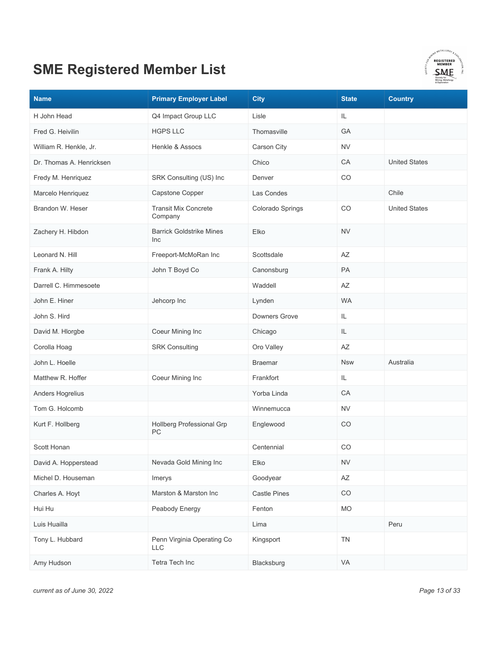

| <b>Name</b>              | <b>Primary Employer Label</b>            | <b>City</b>         | <b>State</b> | <b>Country</b>       |
|--------------------------|------------------------------------------|---------------------|--------------|----------------------|
| H John Head              | Q4 Impact Group LLC                      | Lisle               | IL.          |                      |
| Fred G. Heivilin         | <b>HGPS LLC</b>                          | Thomasville         | GA           |                      |
| William R. Henkle, Jr.   | Henkle & Assocs                          | Carson City         | <b>NV</b>    |                      |
| Dr. Thomas A. Henricksen |                                          | Chico               | CA           | <b>United States</b> |
| Fredy M. Henriquez       | SRK Consulting (US) Inc                  | Denver              | CO           |                      |
| Marcelo Henriquez        | Capstone Copper                          | Las Condes          |              | Chile                |
| Brandon W. Heser         | <b>Transit Mix Concrete</b><br>Company   | Colorado Springs    | CO           | <b>United States</b> |
| Zachery H. Hibdon        | <b>Barrick Goldstrike Mines</b><br>Inc   | Elko                | <b>NV</b>    |                      |
| Leonard N. Hill          | Freeport-McMoRan Inc                     | Scottsdale          | AZ           |                      |
| Frank A. Hilty           | John T Boyd Co                           | Canonsburg          | PA           |                      |
| Darrell C. Himmesoete    |                                          | Waddell             | AZ           |                      |
| John E. Hiner            | Jehcorp Inc                              | Lynden              | <b>WA</b>    |                      |
| John S. Hird             |                                          | Downers Grove       | IL           |                      |
| David M. Hlorgbe         | Coeur Mining Inc                         | Chicago             | IL           |                      |
| Corolla Hoag             | <b>SRK Consulting</b>                    | Oro Valley          | AZ           |                      |
| John L. Hoelle           |                                          | <b>Braemar</b>      | <b>Nsw</b>   | Australia            |
| Matthew R. Hoffer        | Coeur Mining Inc                         | Frankfort           | IL           |                      |
| Anders Hogrelius         |                                          | Yorba Linda         | CA           |                      |
| Tom G. Holcomb           |                                          | Winnemucca          | <b>NV</b>    |                      |
| Kurt F. Hollberg         | Hollberg Professional Grp<br>PC          | Englewood           | CO           |                      |
| Scott Honan              |                                          | Centennial          | CO           |                      |
| David A. Hopperstead     | Nevada Gold Mining Inc                   | Elko                | <b>NV</b>    |                      |
| Michel D. Houseman       | Imerys                                   | Goodyear            | AZ           |                      |
| Charles A. Hoyt          | Marston & Marston Inc                    | <b>Castle Pines</b> | CO           |                      |
| Hui Hu                   | Peabody Energy                           | Fenton              | MO           |                      |
| Luis Huailla             |                                          | Lima                |              | Peru                 |
| Tony L. Hubbard          | Penn Virginia Operating Co<br><b>LLC</b> | Kingsport           | <b>TN</b>    |                      |
| Amy Hudson               | Tetra Tech Inc                           | Blacksburg          | VA           |                      |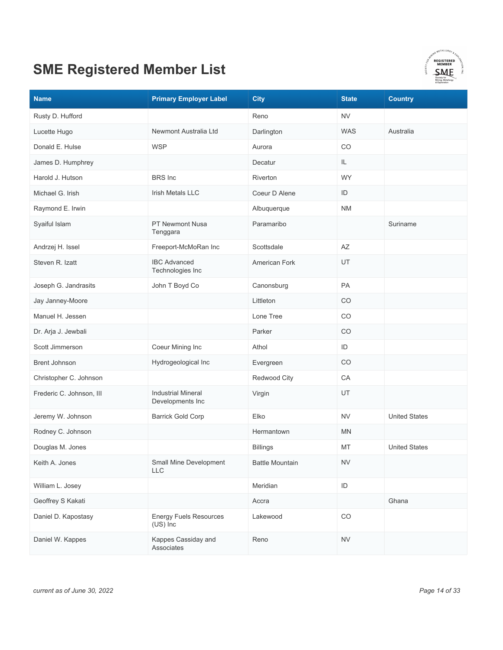

| <b>Name</b>              | <b>Primary Employer Label</b>                 | <b>City</b>            | <b>State</b>  | <b>Country</b>       |
|--------------------------|-----------------------------------------------|------------------------|---------------|----------------------|
| Rusty D. Hufford         |                                               | Reno                   | <b>NV</b>     |                      |
| Lucette Hugo             | Newmont Australia Ltd                         | Darlington             | <b>WAS</b>    | Australia            |
| Donald E. Hulse          | <b>WSP</b>                                    | Aurora                 | CO            |                      |
| James D. Humphrey        |                                               | Decatur                | IL.           |                      |
| Harold J. Hutson         | <b>BRS</b> Inc                                | Riverton               | <b>WY</b>     |                      |
| Michael G. Irish         | <b>Irish Metals LLC</b>                       | Coeur D Alene          | ID            |                      |
| Raymond E. Irwin         |                                               | Albuquerque            | <b>NM</b>     |                      |
| Syaiful Islam            | PT Newmont Nusa<br>Tenggara                   | Paramaribo             |               | Suriname             |
| Andrzej H. Issel         | Freeport-McMoRan Inc                          | Scottsdale             | AZ            |                      |
| Steven R. Izatt          | <b>IBC Advanced</b><br>Technologies Inc       | American Fork          | UT            |                      |
| Joseph G. Jandrasits     | John T Boyd Co                                | Canonsburg             | PA            |                      |
| Jay Janney-Moore         |                                               | Littleton              | CO            |                      |
| Manuel H. Jessen         |                                               | Lone Tree              | CO            |                      |
| Dr. Arja J. Jewbali      |                                               | Parker                 | CO            |                      |
| Scott Jimmerson          | Coeur Mining Inc                              | Athol                  | ID            |                      |
| <b>Brent Johnson</b>     | Hydrogeological Inc                           | Evergreen              | CO            |                      |
| Christopher C. Johnson   |                                               | Redwood City           | CA            |                      |
| Frederic C. Johnson, III | <b>Industrial Mineral</b><br>Developments Inc | Virgin                 | UT            |                      |
| Jeremy W. Johnson        | <b>Barrick Gold Corp</b>                      | Elko                   | <b>NV</b>     | <b>United States</b> |
| Rodney C. Johnson        |                                               | Hermantown             | <b>MN</b>     |                      |
| Douglas M. Jones         |                                               | <b>Billings</b>        | MT            | <b>United States</b> |
| Keith A. Jones           | Small Mine Development<br><b>LLC</b>          | <b>Battle Mountain</b> | <b>NV</b>     |                      |
| William L. Josey         |                                               | Meridian               | $\mathsf{ID}$ |                      |
| Geoffrey S Kakati        |                                               | Accra                  |               | Ghana                |
| Daniel D. Kapostasy      | <b>Energy Fuels Resources</b><br>(US) Inc     | Lakewood               | $_{\rm CO}$   |                      |
| Daniel W. Kappes         | Kappes Cassiday and<br>Associates             | Reno                   | <b>NV</b>     |                      |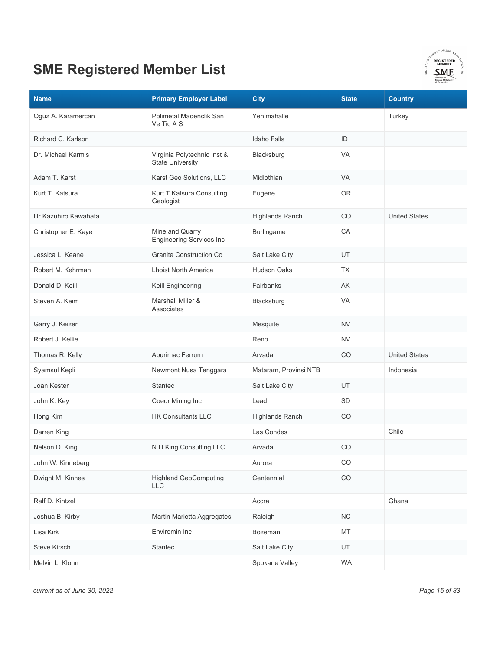

| <b>Name</b>          | <b>Primary Employer Label</b>                          | <b>City</b>            | <b>State</b> | <b>Country</b>       |
|----------------------|--------------------------------------------------------|------------------------|--------------|----------------------|
| Oguz A. Karamercan   | Polimetal Madenclik San<br>Ve Tic A S                  | Yenimahalle            |              | Turkey               |
| Richard C. Karlson   |                                                        | Idaho Falls            | ID           |                      |
| Dr. Michael Karmis   | Virginia Polytechnic Inst &<br><b>State University</b> | Blacksburg             | <b>VA</b>    |                      |
| Adam T. Karst        | Karst Geo Solutions, LLC                               | Midlothian             | <b>VA</b>    |                      |
| Kurt T. Katsura      | Kurt T Katsura Consulting<br>Geologist                 | Eugene                 | <b>OR</b>    |                      |
| Dr Kazuhiro Kawahata |                                                        | <b>Highlands Ranch</b> | CO           | <b>United States</b> |
| Christopher E. Kaye  | Mine and Quarry<br><b>Engineering Services Inc</b>     | <b>Burlingame</b>      | CA           |                      |
| Jessica L. Keane     | <b>Granite Construction Co</b>                         | Salt Lake City         | UT           |                      |
| Robert M. Kehrman    | <b>Lhoist North America</b>                            | Hudson Oaks            | <b>TX</b>    |                      |
| Donald D. Keill      | Keill Engineering                                      | Fairbanks              | AK           |                      |
| Steven A. Keim       | Marshall Miller &<br>Associates                        | Blacksburg             | VA           |                      |
| Garry J. Keizer      |                                                        | Mesquite               | <b>NV</b>    |                      |
| Robert J. Kellie     |                                                        | Reno                   | <b>NV</b>    |                      |
| Thomas R. Kelly      | Apurimac Ferrum                                        | Arvada                 | CO           | <b>United States</b> |
| Syamsul Kepli        | Newmont Nusa Tenggara                                  | Mataram, Provinsi NTB  |              | Indonesia            |
| Joan Kester          | <b>Stantec</b>                                         | Salt Lake City         | UT           |                      |
| John K. Key          | Coeur Mining Inc                                       | Lead                   | SD           |                      |
| Hong Kim             | <b>HK Consultants LLC</b>                              | <b>Highlands Ranch</b> | CO           |                      |
| Darren King          |                                                        | Las Condes             |              | Chile                |
| Nelson D. King       | N D King Consulting LLC                                | Arvada                 | CO           |                      |
| John W. Kinneberg    |                                                        | Aurora                 | CO           |                      |
| Dwight M. Kinnes     | <b>Highland GeoComputing</b><br><b>LLC</b>             | Centennial             | CO           |                      |
| Ralf D. Kintzel      |                                                        | Accra                  |              | Ghana                |
| Joshua B. Kirby      | Martin Marietta Aggregates                             | Raleigh                | NC           |                      |
| Lisa Kirk            | Enviromin Inc                                          | Bozeman                | MT           |                      |
| Steve Kirsch         | <b>Stantec</b>                                         | Salt Lake City         | UT           |                      |
| Melvin L. Klohn      |                                                        | Spokane Valley         | <b>WA</b>    |                      |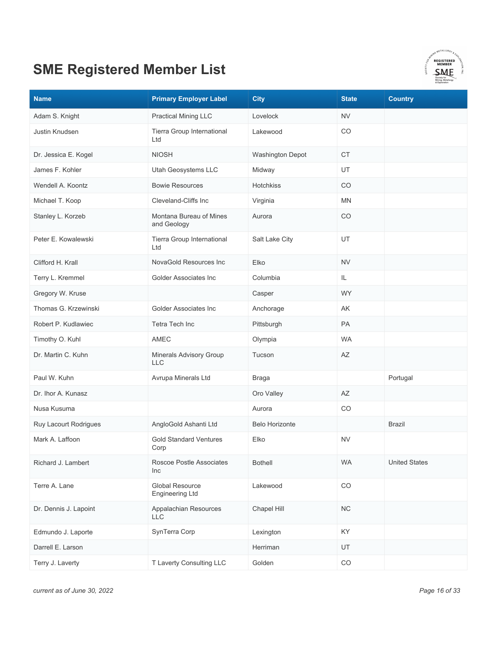

| <b>Name</b>           | <b>Primary Employer Label</b>                    | <b>City</b>           | <b>State</b> | <b>Country</b>       |
|-----------------------|--------------------------------------------------|-----------------------|--------------|----------------------|
| Adam S. Knight        | <b>Practical Mining LLC</b>                      | Lovelock              | <b>NV</b>    |                      |
| <b>Justin Knudsen</b> | Tierra Group International<br>Ltd                | Lakewood              | CO           |                      |
| Dr. Jessica E. Kogel  | <b>NIOSH</b>                                     | Washington Depot      | <b>CT</b>    |                      |
| James F. Kohler       | Utah Geosystems LLC                              | Midway                | UT           |                      |
| Wendell A. Koontz     | <b>Bowie Resources</b>                           | Hotchkiss             | CO           |                      |
| Michael T. Koop       | Cleveland-Cliffs Inc                             | Virginia              | <b>MN</b>    |                      |
| Stanley L. Korzeb     | Montana Bureau of Mines<br>and Geology           | Aurora                | CO           |                      |
| Peter E. Kowalewski   | Tierra Group International<br>Ltd                | Salt Lake City        | UT           |                      |
| Clifford H. Krall     | NovaGold Resources Inc                           | Elko                  | <b>NV</b>    |                      |
| Terry L. Kremmel      | Golder Associates Inc                            | Columbia              | IL           |                      |
| Gregory W. Kruse      |                                                  | Casper                | <b>WY</b>    |                      |
| Thomas G. Krzewinski  | Golder Associates Inc                            | Anchorage             | AK           |                      |
| Robert P. Kudlawiec   | Tetra Tech Inc                                   | Pittsburgh            | PA           |                      |
| Timothy O. Kuhl       | AMEC                                             | Olympia               | <b>WA</b>    |                      |
| Dr. Martin C. Kuhn    | Minerals Advisory Group<br><b>LLC</b>            | Tucson                | AZ           |                      |
| Paul W. Kuhn          | Avrupa Minerals Ltd                              | <b>Braga</b>          |              | Portugal             |
| Dr. Ihor A. Kunasz    |                                                  | Oro Valley            | AZ           |                      |
| Nusa Kusuma           |                                                  | Aurora                | CO           |                      |
| Ruy Lacourt Rodrigues | AngloGold Ashanti Ltd                            | <b>Belo Horizonte</b> |              | Brazil               |
| Mark A. Laffoon       | <b>Gold Standard Ventures</b><br>Corp            | Elko                  | <b>NV</b>    |                      |
| Richard J. Lambert    | Roscoe Postle Associates<br>Inc                  | <b>Bothell</b>        | <b>WA</b>    | <b>United States</b> |
| Terre A. Lane         | <b>Global Resource</b><br><b>Engineering Ltd</b> | Lakewood              | $_{\rm CO}$  |                      |
| Dr. Dennis J. Lapoint | Appalachian Resources<br><b>LLC</b>              | Chapel Hill           | NC           |                      |
| Edmundo J. Laporte    | SynTerra Corp                                    | Lexington             | KY           |                      |
| Darrell E. Larson     |                                                  | Herriman              | UT           |                      |
| Terry J. Laverty      | T Laverty Consulting LLC                         | Golden                | $_{\rm CO}$  |                      |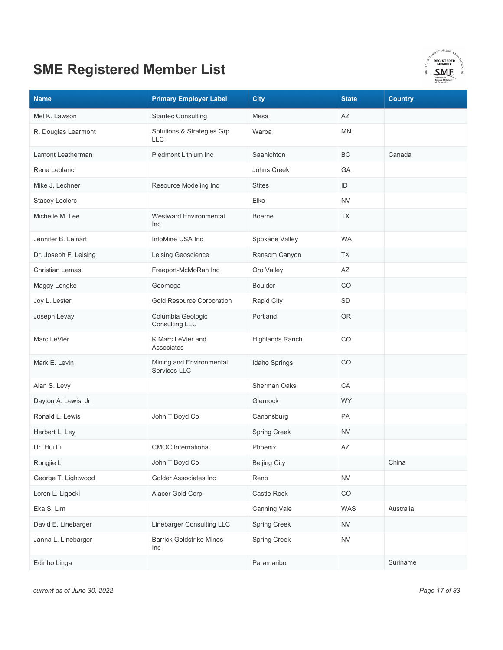

| <b>Name</b>            | <b>Primary Employer Label</b>                   | <b>City</b>            | <b>State</b> | <b>Country</b> |
|------------------------|-------------------------------------------------|------------------------|--------------|----------------|
| Mel K. Lawson          | <b>Stantec Consulting</b>                       | Mesa                   | AZ           |                |
| R. Douglas Learmont    | Solutions & Strategies Grp<br><b>LLC</b>        | Warba                  | <b>MN</b>    |                |
| Lamont Leatherman      | Piedmont Lithium Inc                            | Saanichton             | ВC           | Canada         |
| Rene Leblanc           |                                                 | Johns Creek            | GA           |                |
| Mike J. Lechner        | Resource Modeling Inc                           | <b>Stites</b>          | ID           |                |
| <b>Stacey Leclerc</b>  |                                                 | Elko                   | <b>NV</b>    |                |
| Michelle M. Lee        | <b>Westward Environmental</b><br>Inc            | <b>Boerne</b>          | <b>TX</b>    |                |
| Jennifer B. Leinart    | InfoMine USA Inc                                | Spokane Valley         | <b>WA</b>    |                |
| Dr. Joseph F. Leising  | Leising Geoscience                              | Ransom Canyon          | <b>TX</b>    |                |
| <b>Christian Lemas</b> | Freeport-McMoRan Inc                            | Oro Valley             | AZ           |                |
| Maggy Lengke           | Geomega                                         | <b>Boulder</b>         | <b>CO</b>    |                |
| Joy L. Lester          | Gold Resource Corporation                       | Rapid City             | SD           |                |
| Joseph Levay           | Columbia Geologic<br><b>Consulting LLC</b>      | Portland               | <b>OR</b>    |                |
| Marc LeVier            | K Marc LeVier and<br>Associates                 | <b>Highlands Ranch</b> | CO           |                |
| Mark E. Levin          | Mining and Environmental<br><b>Services LLC</b> | Idaho Springs          | CO           |                |
| Alan S. Levy           |                                                 | Sherman Oaks           | CA           |                |
| Dayton A. Lewis, Jr.   |                                                 | Glenrock               | <b>WY</b>    |                |
| Ronald L. Lewis        | John T Boyd Co                                  | Canonsburg             | PA           |                |
| Herbert L. Ley         |                                                 | <b>Spring Creek</b>    | <b>NV</b>    |                |
| Dr. Hui Li             | <b>CMOC</b> International                       | Phoenix                | AZ           |                |
| Rongjie Li             | John T Boyd Co                                  | <b>Beijing City</b>    |              | China          |
| George T. Lightwood    | Golder Associates Inc                           | Reno                   | <b>NV</b>    |                |
| Loren L. Ligocki       | Alacer Gold Corp                                | Castle Rock            | $_{\rm CO}$  |                |
| Eka S. Lim             |                                                 | Canning Vale           | WAS          | Australia      |
| David E. Linebarger    | Linebarger Consulting LLC                       | <b>Spring Creek</b>    | <b>NV</b>    |                |
| Janna L. Linebarger    | <b>Barrick Goldstrike Mines</b><br>Inc          | Spring Creek           | <b>NV</b>    |                |
| Edinho Linga           |                                                 | Paramaribo             |              | Suriname       |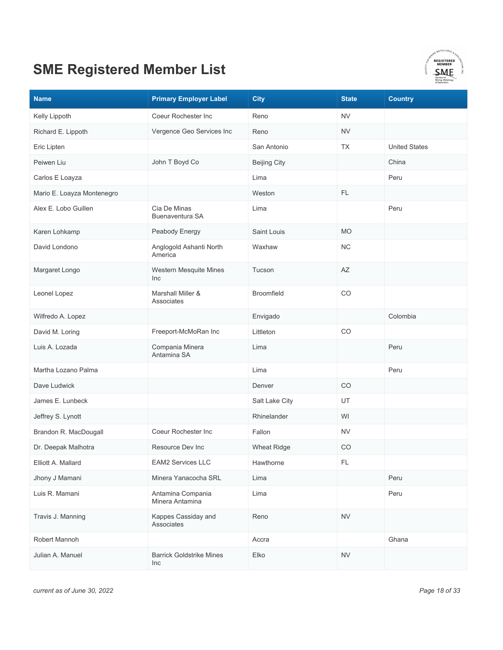

| <b>Name</b>                | <b>Primary Employer Label</b>          | <b>City</b>         | <b>State</b> | <b>Country</b>       |
|----------------------------|----------------------------------------|---------------------|--------------|----------------------|
| Kelly Lippoth              | Coeur Rochester Inc                    | Reno                | <b>NV</b>    |                      |
| Richard E. Lippoth         | Vergence Geo Services Inc              | Reno                | <b>NV</b>    |                      |
| Eric Lipten                |                                        | San Antonio         | <b>TX</b>    | <b>United States</b> |
| Peiwen Liu                 | John T Boyd Co                         | <b>Beijing City</b> |              | China                |
| Carlos E Loayza            |                                        | Lima                |              | Peru                 |
| Mario E. Loayza Montenegro |                                        | Weston              | FL.          |                      |
| Alex E. Lobo Guillen       | Cia De Minas<br>Buenaventura SA        | Lima                |              | Peru                 |
| Karen Lohkamp              | Peabody Energy                         | Saint Louis         | <b>MO</b>    |                      |
| David Londono              | Anglogold Ashanti North<br>America     | Waxhaw              | NC           |                      |
| Margaret Longo             | Western Mesquite Mines<br>Inc          | Tucson              | AZ           |                      |
| Leonel Lopez               | Marshall Miller &<br>Associates        | <b>Broomfield</b>   | CO           |                      |
| Wilfredo A. Lopez          |                                        | Envigado            |              | Colombia             |
| David M. Loring            | Freeport-McMoRan Inc                   | Littleton           | CO           |                      |
| Luis A. Lozada             | Compania Minera<br>Antamina SA         | Lima                |              | Peru                 |
| Martha Lozano Palma        |                                        | Lima                |              | Peru                 |
| Dave Ludwick               |                                        | Denver              | CO           |                      |
| James E. Lunbeck           |                                        | Salt Lake City      | UT           |                      |
| Jeffrey S. Lynott          |                                        | Rhinelander         | WI           |                      |
| Brandon R. MacDougall      | Coeur Rochester Inc                    | Fallon              | <b>NV</b>    |                      |
| Dr. Deepak Malhotra        | Resource Dev Inc                       | <b>Wheat Ridge</b>  | CO           |                      |
| Elliott A. Mallard         | <b>EAM2 Services LLC</b>               | Hawthorne           | FL           |                      |
| Jhony J Mamani             | Minera Yanacocha SRL                   | Lima                |              | Peru                 |
| Luis R. Mamani             | Antamina Compania<br>Minera Antamina   | Lima                |              | Peru                 |
| Travis J. Manning          | Kappes Cassiday and<br>Associates      | Reno                | <b>NV</b>    |                      |
| Robert Mannoh              |                                        | Accra               |              | Ghana                |
| Julian A. Manuel           | <b>Barrick Goldstrike Mines</b><br>Inc | Elko                | ${\sf NV}$   |                      |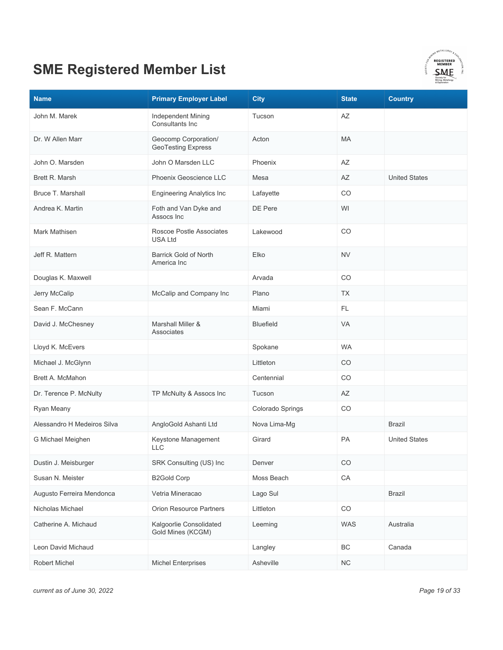

| <b>Name</b>                 | <b>Primary Employer Label</b>                     | <b>City</b>      | <b>State</b> | <b>Country</b>       |
|-----------------------------|---------------------------------------------------|------------------|--------------|----------------------|
| John M. Marek               | Independent Mining<br>Consultants Inc             | Tucson           | AZ           |                      |
| Dr. W Allen Marr            | Geocomp Corporation/<br><b>GeoTesting Express</b> | Acton            | MA           |                      |
| John O. Marsden             | John O Marsden LLC                                | Phoenix          | AZ           |                      |
| Brett R. Marsh              | Phoenix Geoscience LLC                            | Mesa             | AZ           | <b>United States</b> |
| Bruce T. Marshall           | <b>Engineering Analytics Inc</b>                  | Lafayette        | CO           |                      |
| Andrea K. Martin            | Foth and Van Dyke and<br>Assocs Inc               | DE Pere          | WI           |                      |
| Mark Mathisen               | Roscoe Postle Associates<br><b>USA Ltd</b>        | Lakewood         | CO           |                      |
| Jeff R. Mattern             | <b>Barrick Gold of North</b><br>America Inc       | Elko             | <b>NV</b>    |                      |
| Douglas K. Maxwell          |                                                   | Arvada           | CO           |                      |
| Jerry McCalip               | McCalip and Company Inc                           | Plano            | <b>TX</b>    |                      |
| Sean F. McCann              |                                                   | Miami            | FL.          |                      |
| David J. McChesney          | Marshall Miller &<br>Associates                   | <b>Bluefield</b> | <b>VA</b>    |                      |
| Lloyd K. McEvers            |                                                   | Spokane          | <b>WA</b>    |                      |
| Michael J. McGlynn          |                                                   | Littleton        | CO           |                      |
| Brett A. McMahon            |                                                   | Centennial       | CO           |                      |
| Dr. Terence P. McNulty      | TP McNulty & Assocs Inc                           | Tucson           | AZ           |                      |
| Ryan Meany                  |                                                   | Colorado Springs | CO           |                      |
| Alessandro H Medeiros Silva | AngloGold Ashanti Ltd                             | Nova Lima-Mg     |              | <b>Brazil</b>        |
| G Michael Meighen           | Keystone Management<br><b>LLC</b>                 | Girard           | PA           | <b>United States</b> |
| Dustin J. Meisburger        | SRK Consulting (US) Inc                           | Denver           | CO           |                      |
| Susan N. Meister            | <b>B2Gold Corp</b>                                | Moss Beach       | CA           |                      |
| Augusto Ferreira Mendonca   | Vetria Mineracao                                  | Lago Sul         |              | <b>Brazil</b>        |
| Nicholas Michael            | <b>Orion Resource Partners</b>                    | Littleton        | $_{\rm CO}$  |                      |
| Catherine A. Michaud        | Kalgoorlie Consolidated<br>Gold Mines (KCGM)      | Leeming          | <b>WAS</b>   | Australia            |
| Leon David Michaud          |                                                   | Langley          | BC           | Canada               |
| Robert Michel               | <b>Michel Enterprises</b>                         | Asheville        | NC           |                      |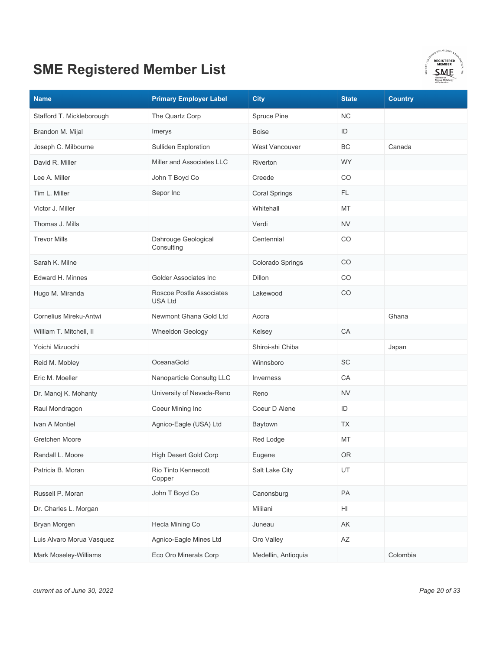

| <b>Name</b>               | <b>Primary Employer Label</b>              | <b>City</b>          | <b>State</b>           | <b>Country</b> |
|---------------------------|--------------------------------------------|----------------------|------------------------|----------------|
| Stafford T. Mickleborough | The Quartz Corp                            | Spruce Pine          | NС                     |                |
| Brandon M. Mijal          | Imerys                                     | <b>Boise</b>         | ID                     |                |
| Joseph C. Milbourne       | Sulliden Exploration                       | West Vancouver       | BC                     | Canada         |
| David R. Miller           | Miller and Associates LLC                  | Riverton             | <b>WY</b>              |                |
| Lee A. Miller             | John T Boyd Co                             | Creede               | CO                     |                |
| Tim L. Miller             | Sepor Inc                                  | <b>Coral Springs</b> | FL.                    |                |
| Victor J. Miller          |                                            | Whitehall            | MT                     |                |
| Thomas J. Mills           |                                            | Verdi                | NV                     |                |
| <b>Trevor Mills</b>       | Dahrouge Geological<br>Consulting          | Centennial           | CO                     |                |
| Sarah K. Milne            |                                            | Colorado Springs     | CO                     |                |
| Edward H. Minnes          | Golder Associates Inc                      | Dillon               | CO                     |                |
| Hugo M. Miranda           | Roscoe Postle Associates<br><b>USA Ltd</b> | Lakewood             | CO                     |                |
| Cornelius Mireku-Antwi    | Newmont Ghana Gold Ltd                     | Accra                |                        | Ghana          |
| William T. Mitchell, II   | Wheeldon Geology                           | Kelsey               | CA                     |                |
| Yoichi Mizuochi           |                                            | Shiroi-shi Chiba     |                        | Japan          |
| Reid M. Mobley            | OceanaGold                                 | Winnsboro            | SC                     |                |
| Eric M. Moeller           | Nanoparticle Consultg LLC                  | Inverness            | CA                     |                |
| Dr. Manoj K. Mohanty      | University of Nevada-Reno                  | Reno                 | <b>NV</b>              |                |
| Raul Mondragon            | Coeur Mining Inc                           | Coeur D Alene        | ID                     |                |
| Ivan A Montiel            | Agnico-Eagle (USA) Ltd                     | Baytown              | ТX                     |                |
| Gretchen Moore            |                                            | Red Lodge            | MT                     |                |
| Randall L. Moore          | <b>High Desert Gold Corp</b>               | Eugene               | <b>OR</b>              |                |
| Patricia B. Moran         | Rio Tinto Kennecott<br>Copper              | Salt Lake City       | UT                     |                |
| Russell P. Moran          | John T Boyd Co                             | Canonsburg           | PA                     |                |
| Dr. Charles L. Morgan     |                                            | Mililani             | HI                     |                |
| Bryan Morgen              | Hecla Mining Co                            | Juneau               | AK                     |                |
| Luis Alvaro Morua Vasquez | Agnico-Eagle Mines Ltd                     | Oro Valley           | $\mathsf{A}\mathsf{Z}$ |                |
| Mark Moseley-Williams     | Eco Oro Minerals Corp                      | Medellin, Antioquia  |                        | Colombia       |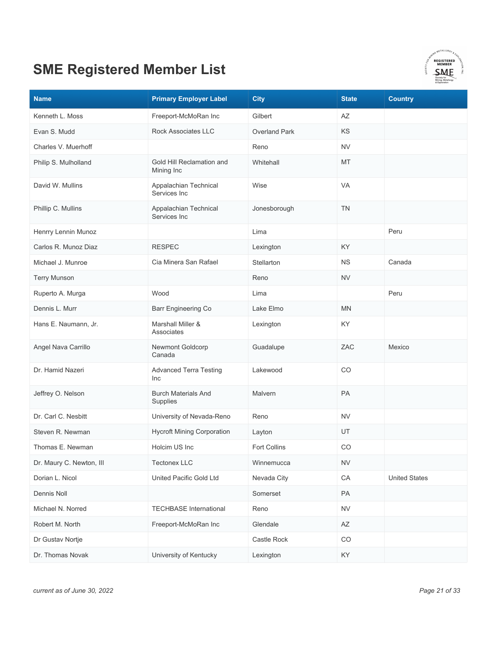

| <b>Name</b>              | <b>Primary Employer Label</b>           | <b>City</b>          | <b>State</b> | <b>Country</b>       |
|--------------------------|-----------------------------------------|----------------------|--------------|----------------------|
| Kenneth L. Moss          | Freeport-McMoRan Inc                    | Gilbert              | AZ           |                      |
| Evan S. Mudd             | Rock Associates LLC                     | <b>Overland Park</b> | KS           |                      |
| Charles V. Muerhoff      |                                         | Reno                 | <b>NV</b>    |                      |
| Philip S. Mulholland     | Gold Hill Reclamation and<br>Mining Inc | Whitehall            | MT           |                      |
| David W. Mullins         | Appalachian Technical<br>Services Inc   | Wise                 | <b>VA</b>    |                      |
| Phillip C. Mullins       | Appalachian Technical<br>Services Inc   | Jonesborough         | <b>TN</b>    |                      |
| Henrry Lennin Munoz      |                                         | Lima                 |              | Peru                 |
| Carlos R. Munoz Diaz     | <b>RESPEC</b>                           | Lexington            | <b>KY</b>    |                      |
| Michael J. Munroe        | Cia Minera San Rafael                   | Stellarton           | <b>NS</b>    | Canada               |
| <b>Terry Munson</b>      |                                         | Reno                 | <b>NV</b>    |                      |
| Ruperto A. Murga         | Wood                                    | Lima                 |              | Peru                 |
| Dennis L. Murr           | <b>Barr Engineering Co</b>              | Lake Elmo            | <b>MN</b>    |                      |
| Hans E. Naumann, Jr.     | Marshall Miller &<br>Associates         | Lexington            | KY.          |                      |
| Angel Nava Carrillo      | Newmont Goldcorp<br>Canada              | Guadalupe            | ZAC          | Mexico               |
| Dr. Hamid Nazeri         | <b>Advanced Terra Testing</b><br>Inc    | Lakewood             | CO           |                      |
| Jeffrey O. Nelson        | <b>Burch Materials And</b><br>Supplies  | Malvern              | PA           |                      |
| Dr. Carl C. Nesbitt      | University of Nevada-Reno               | Reno                 | <b>NV</b>    |                      |
| Steven R. Newman         | <b>Hycroft Mining Corporation</b>       | Layton               | UT           |                      |
| Thomas E. Newman         | Holcim US Inc                           | <b>Fort Collins</b>  | CO           |                      |
| Dr. Maury C. Newton, III | <b>Tectonex LLC</b>                     | Winnemucca           | <b>NV</b>    |                      |
| Dorian L. Nicol          | United Pacific Gold Ltd                 | Nevada City          | CA           | <b>United States</b> |
| Dennis Noll              |                                         | Somerset             | PA           |                      |
| Michael N. Norred        | <b>TECHBASE International</b>           | Reno                 | ${\sf NV}$   |                      |
| Robert M. North          | Freeport-McMoRan Inc                    | Glendale             | AZ           |                      |
| Dr Gustav Nortje         |                                         | Castle Rock          | CO           |                      |
| Dr. Thomas Novak         | University of Kentucky                  | Lexington            | KY           |                      |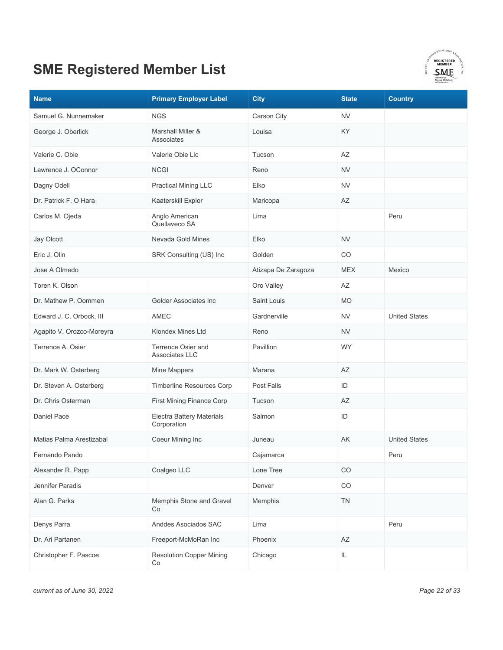

| <b>Name</b>               | <b>Primary Employer Label</b>            | <b>City</b>         | <b>State</b>           | <b>Country</b>       |
|---------------------------|------------------------------------------|---------------------|------------------------|----------------------|
| Samuel G. Nunnemaker      | <b>NGS</b>                               | Carson City         | <b>NV</b>              |                      |
| George J. Oberlick        | Marshall Miller &<br>Associates          | Louisa              | KY.                    |                      |
| Valerie C. Obie           | Valerie Obie Llc                         | Tucson              | AZ                     |                      |
| Lawrence J. OConnor       | <b>NCGI</b>                              | Reno                | <b>NV</b>              |                      |
| Dagny Odell               | <b>Practical Mining LLC</b>              | Elko                | <b>NV</b>              |                      |
| Dr. Patrick F. O Hara     | Kaaterskill Explor                       | Maricopa            | AZ                     |                      |
| Carlos M. Ojeda           | Anglo American<br>Quellaveco SA          | Lima                |                        | Peru                 |
| Jay Olcott                | Nevada Gold Mines                        | Elko                | <b>NV</b>              |                      |
| Eric J. Olin              | SRK Consulting (US) Inc                  | Golden              | CO                     |                      |
| Jose A Olmedo             |                                          | Atizapa De Zaragoza | <b>MEX</b>             | Mexico               |
| Toren K. Olson            |                                          | Oro Valley          | AZ                     |                      |
| Dr. Mathew P. Oommen      | Golder Associates Inc                    | Saint Louis         | <b>MO</b>              |                      |
| Edward J. C. Orbock, III  | AMEC                                     | Gardnerville        | <b>NV</b>              | <b>United States</b> |
| Agapito V. Orozco-Moreyra | Klondex Mines Ltd                        | Reno                | <b>NV</b>              |                      |
| Terrence A. Osier         | Terrence Osier and<br>Associates LLC     | Pavillion           | <b>WY</b>              |                      |
| Dr. Mark W. Osterberg     | Mine Mappers                             | Marana              | AZ                     |                      |
| Dr. Steven A. Osterberg   | Timberline Resources Corp                | Post Falls          | ID                     |                      |
| Dr. Chris Osterman        | First Mining Finance Corp                | Tucson              | AZ                     |                      |
| Daniel Pace               | Electra Battery Materials<br>Corporation | Salmon              | ID                     |                      |
| Matias Palma Arestizabal  | Coeur Mining Inc                         | Juneau              | AK                     | <b>United States</b> |
| Fernando Pando            |                                          | Cajamarca           |                        | Peru                 |
| Alexander R. Papp         | Coalgeo LLC                              | Lone Tree           | CO                     |                      |
| Jennifer Paradis          |                                          | Denver              | CO                     |                      |
| Alan G. Parks             | Memphis Stone and Gravel<br>Co           | Memphis             | TN                     |                      |
| Denys Parra               | Anddes Asociados SAC                     | Lima                |                        | Peru                 |
| Dr. Ari Partanen          | Freeport-McMoRan Inc                     | Phoenix             | $\mathsf{A}\mathsf{Z}$ |                      |
| Christopher F. Pascoe     | <b>Resolution Copper Mining</b><br>Co    | Chicago             | IL                     |                      |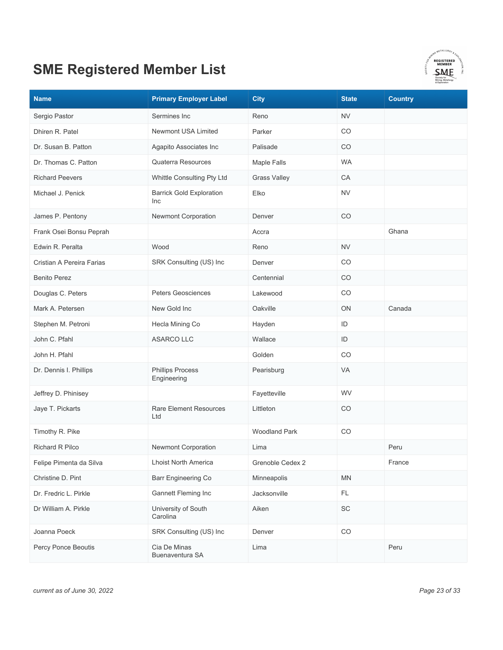

| <b>Name</b>               | <b>Primary Employer Label</b>          | <b>City</b>          | <b>State</b>  | <b>Country</b> |
|---------------------------|----------------------------------------|----------------------|---------------|----------------|
| Sergio Pastor             | Sermines Inc                           | Reno                 | <b>NV</b>     |                |
| Dhiren R. Patel           | <b>Newmont USA Limited</b>             | Parker               | CO            |                |
| Dr. Susan B. Patton       | Agapito Associates Inc                 | Palisade             | CO            |                |
| Dr. Thomas C. Patton      | <b>Quaterra Resources</b>              | Maple Falls          | <b>WA</b>     |                |
| <b>Richard Peevers</b>    | Whittle Consulting Pty Ltd             | <b>Grass Valley</b>  | CA            |                |
| Michael J. Penick         | <b>Barrick Gold Exploration</b><br>Inc | Elko                 | <b>NV</b>     |                |
| James P. Pentony          | Newmont Corporation                    | Denver               | CO            |                |
| Frank Osei Bonsu Peprah   |                                        | Accra                |               | Ghana          |
| Edwin R. Peralta          | Wood                                   | Reno                 | <b>NV</b>     |                |
| Cristian A Pereira Farias | SRK Consulting (US) Inc                | Denver               | CO            |                |
| <b>Benito Perez</b>       |                                        | Centennial           | CO            |                |
| Douglas C. Peters         | <b>Peters Geosciences</b>              | Lakewood             | CO            |                |
| Mark A. Petersen          | New Gold Inc                           | Oakville             | ON            | Canada         |
| Stephen M. Petroni        | Hecla Mining Co                        | Hayden               | ID            |                |
| John C. Pfahl             | <b>ASARCO LLC</b>                      | Wallace              | ID            |                |
| John H. Pfahl             |                                        | Golden               | CO            |                |
| Dr. Dennis I. Phillips    | <b>Phillips Process</b><br>Engineering | Pearisburg           | <b>VA</b>     |                |
| Jeffrey D. Phinisey       |                                        | Fayetteville         | WV            |                |
| Jaye T. Pickarts          | <b>Rare Element Resources</b><br>Ltd   | Littleton            | CO            |                |
| Timothy R. Pike           |                                        | <b>Woodland Park</b> | CO            |                |
| <b>Richard R Pilco</b>    | <b>Newmont Corporation</b>             | Lima                 |               | Peru           |
| Felipe Pimenta da Silva   | Lhoist North America                   | Grenoble Cedex 2     |               | France         |
| Christine D. Pint         | Barr Engineering Co                    | Minneapolis          | <b>MN</b>     |                |
| Dr. Fredric L. Pirkle     | Gannett Fleming Inc                    | Jacksonville         | $\mathsf{FL}$ |                |
| Dr William A. Pirkle      | University of South<br>Carolina        | Aiken                | SC            |                |
| Joanna Poeck              | SRK Consulting (US) Inc                | Denver               | CO            |                |
| Percy Ponce Beoutis       | Cia De Minas<br>Buenaventura SA        | Lima                 |               | Peru           |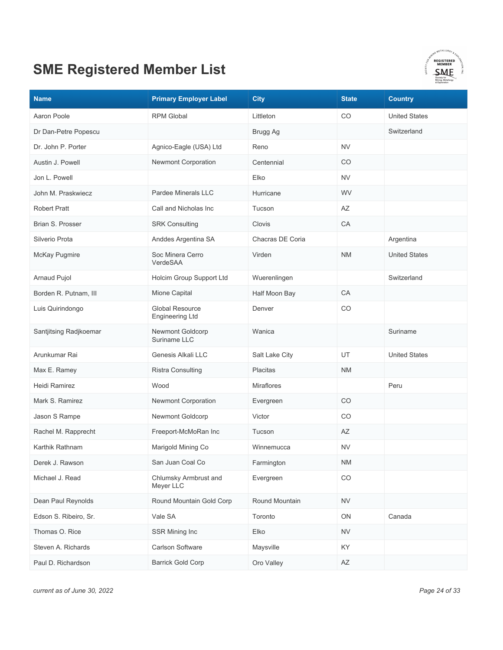

| <b>Name</b>            | <b>Primary Employer Label</b>                    | <b>City</b>       | <b>State</b>           | <b>Country</b>       |
|------------------------|--------------------------------------------------|-------------------|------------------------|----------------------|
| Aaron Poole            | <b>RPM Global</b>                                | Littleton         | CO                     | <b>United States</b> |
| Dr Dan-Petre Popescu   |                                                  | Brugg Ag          |                        | Switzerland          |
| Dr. John P. Porter     | Agnico-Eagle (USA) Ltd                           | Reno              | <b>NV</b>              |                      |
| Austin J. Powell       | <b>Newmont Corporation</b>                       | Centennial        | CO                     |                      |
| Jon L. Powell          |                                                  | Elko              | <b>NV</b>              |                      |
| John M. Praskwiecz     | Pardee Minerals LLC                              | Hurricane         | <b>WV</b>              |                      |
| <b>Robert Pratt</b>    | Call and Nicholas Inc                            | Tucson            | AZ                     |                      |
| Brian S. Prosser       | <b>SRK Consulting</b>                            | Clovis            | СA                     |                      |
| Silverio Prota         | Anddes Argentina SA                              | Chacras DE Coria  |                        | Argentina            |
| McKay Pugmire          | Soc Minera Cerro<br>VerdeSAA                     | Virden            | <b>NM</b>              | <b>United States</b> |
| <b>Arnaud Pujol</b>    | Holcim Group Support Ltd                         | Wuerenlingen      |                        | Switzerland          |
| Borden R. Putnam, III  | Mione Capital                                    | Half Moon Bay     | CA                     |                      |
| Luis Quirindongo       | <b>Global Resource</b><br><b>Engineering Ltd</b> | Denver            | CO                     |                      |
| Santjitsing Radjkoemar | <b>Newmont Goldcorp</b><br>Suriname LLC          | Wanica            |                        | Suriname             |
| Arunkumar Rai          | Genesis Alkali LLC                               | Salt Lake City    | UT                     | <b>United States</b> |
| Max E. Ramey           | <b>Ristra Consulting</b>                         | <b>Placitas</b>   | <b>NM</b>              |                      |
| Heidi Ramirez          | Wood                                             | <b>Miraflores</b> |                        | Peru                 |
| Mark S. Ramirez        | <b>Newmont Corporation</b>                       | Evergreen         | CO                     |                      |
| Jason S Rampe          | Newmont Goldcorp                                 | Victor            | CO                     |                      |
| Rachel M. Rapprecht    | Freeport-McMoRan Inc                             | Tucson            | AZ                     |                      |
| Karthik Rathnam        | Marigold Mining Co                               | Winnemucca        | <b>NV</b>              |                      |
| Derek J. Rawson        | San Juan Coal Co                                 | Farmington        | <b>NM</b>              |                      |
| Michael J. Read        | Chlumsky Armbrust and<br>Meyer LLC               | Evergreen         | CO                     |                      |
| Dean Paul Reynolds     | Round Mountain Gold Corp                         | Round Mountain    | <b>NV</b>              |                      |
| Edson S. Ribeiro, Sr.  | Vale SA                                          | Toronto           | ON                     | Canada               |
| Thomas O. Rice         | SSR Mining Inc                                   | Elko              | <b>NV</b>              |                      |
| Steven A. Richards     | <b>Carlson Software</b>                          | Maysville         | KY                     |                      |
| Paul D. Richardson     | <b>Barrick Gold Corp</b>                         | Oro Valley        | $\mathsf{A}\mathsf{Z}$ |                      |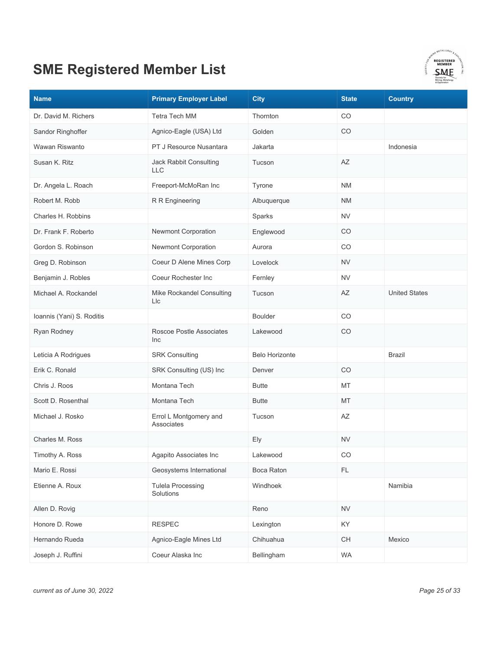

| <b>Name</b>               | <b>Primary Employer Label</b>         | <b>City</b>           | <b>State</b> | <b>Country</b>       |
|---------------------------|---------------------------------------|-----------------------|--------------|----------------------|
| Dr. David M. Richers      | <b>Tetra Tech MM</b>                  | Thornton              | CO           |                      |
| Sandor Ringhoffer         | Agnico-Eagle (USA) Ltd                | Golden                | CO           |                      |
| Wawan Riswanto            | PT J Resource Nusantara               | Jakarta               |              | Indonesia            |
| Susan K. Ritz             | Jack Rabbit Consulting<br><b>LLC</b>  | Tucson                | AZ           |                      |
| Dr. Angela L. Roach       | Freeport-McMoRan Inc                  | Tyrone                | <b>NM</b>    |                      |
| Robert M. Robb            | R R Engineering                       | Albuquerque           | <b>NM</b>    |                      |
| Charles H. Robbins        |                                       | Sparks                | <b>NV</b>    |                      |
| Dr. Frank F. Roberto      | Newmont Corporation                   | Englewood             | CO           |                      |
| Gordon S. Robinson        | Newmont Corporation                   | Aurora                | CO           |                      |
| Greg D. Robinson          | Coeur D Alene Mines Corp              | Lovelock              | NV           |                      |
| Benjamin J. Robles        | Coeur Rochester Inc                   | Fernley               | <b>NV</b>    |                      |
| Michael A. Rockandel      | Mike Rockandel Consulting<br>Llc      | Tucson                | ΑZ           | <b>United States</b> |
| Ioannis (Yani) S. Roditis |                                       | <b>Boulder</b>        | CO           |                      |
| Ryan Rodney               | Roscoe Postle Associates<br>Inc       | Lakewood              | CO           |                      |
| Leticia A Rodrigues       | <b>SRK Consulting</b>                 | <b>Belo Horizonte</b> |              | <b>Brazil</b>        |
| Erik C. Ronald            | SRK Consulting (US) Inc               | Denver                | CO           |                      |
| Chris J. Roos             | Montana Tech                          | <b>Butte</b>          | MT           |                      |
| Scott D. Rosenthal        | Montana Tech                          | <b>Butte</b>          | MT           |                      |
| Michael J. Rosko          | Errol L Montgomery and<br>Associates  | Tucson                | AZ           |                      |
| Charles M. Ross           |                                       | Ely                   | <b>NV</b>    |                      |
| Timothy A. Ross           | Agapito Associates Inc                | Lakewood              | CO           |                      |
| Mario E. Rossi            | Geosystems International              | Boca Raton            | FL.          |                      |
| Etienne A. Roux           | <b>Tulela Processing</b><br>Solutions | Windhoek              |              | Namibia              |
| Allen D. Rovig            |                                       | Reno                  | <b>NV</b>    |                      |
| Honore D. Rowe            | <b>RESPEC</b>                         | Lexington             | KY           |                      |
| Hernando Rueda            | Agnico-Eagle Mines Ltd                | Chihuahua             | <b>CH</b>    | Mexico               |
| Joseph J. Ruffini         | Coeur Alaska Inc                      | Bellingham            | <b>WA</b>    |                      |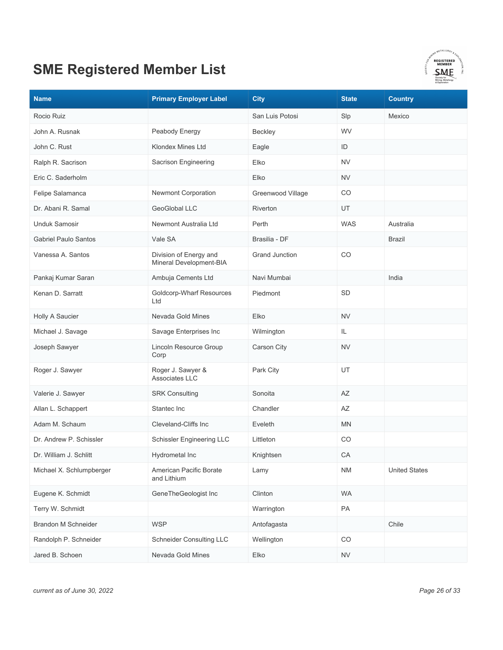

| <b>Name</b>                 | <b>Primary Employer Label</b>                     | <b>City</b>           | <b>State</b> | <b>Country</b>       |
|-----------------------------|---------------------------------------------------|-----------------------|--------------|----------------------|
| Rocio Ruiz                  |                                                   | San Luis Potosi       | Slp          | Mexico               |
| John A. Rusnak              | Peabody Energy                                    | Beckley               | WV           |                      |
| John C. Rust                | Klondex Mines Ltd                                 | Eagle                 | ID           |                      |
| Ralph R. Sacrison           | Sacrison Engineering                              | Elko                  | <b>NV</b>    |                      |
| Eric C. Saderholm           |                                                   | Elko                  | <b>NV</b>    |                      |
| Felipe Salamanca            | Newmont Corporation                               | Greenwood Village     | CO           |                      |
| Dr. Abani R. Samal          | GeoGlobal LLC                                     | <b>Riverton</b>       | UT           |                      |
| <b>Unduk Samosir</b>        | Newmont Australia Ltd                             | Perth                 | <b>WAS</b>   | Australia            |
| <b>Gabriel Paulo Santos</b> | Vale SA                                           | Brasilia - DF         |              | <b>Brazil</b>        |
| Vanessa A. Santos           | Division of Energy and<br>Mineral Development-BIA | <b>Grand Junction</b> | CO           |                      |
| Pankaj Kumar Saran          | Ambuja Cements Ltd                                | Navi Mumbai           |              | India                |
| Kenan D. Sarratt            | Goldcorp-Wharf Resources<br>Ltd                   | Piedmont              | SD           |                      |
| Holly A Saucier             | Nevada Gold Mines                                 | Elko                  | <b>NV</b>    |                      |
| Michael J. Savage           | Savage Enterprises Inc                            | Wilmington            | IL           |                      |
| Joseph Sawyer               | Lincoln Resource Group<br>Corp                    | <b>Carson City</b>    | <b>NV</b>    |                      |
| Roger J. Sawyer             | Roger J. Sawyer &<br>Associates LLC               | Park City             | UT           |                      |
| Valerie J. Sawyer           | <b>SRK Consulting</b>                             | Sonoita               | AZ           |                      |
| Allan L. Schappert          | Stantec Inc                                       | Chandler              | AZ           |                      |
| Adam M. Schaum              | Cleveland-Cliffs Inc                              | Eveleth               | MN           |                      |
| Dr. Andrew P. Schissler     | <b>Schissler Engineering LLC</b>                  | Littleton             | CO           |                      |
| Dr. William J. Schlitt      | Hydrometal Inc                                    | Knightsen             | CA           |                      |
| Michael X. Schlumpberger    | American Pacific Borate<br>and Lithium            | Lamy                  | <b>NM</b>    | <b>United States</b> |
| Eugene K. Schmidt           | GeneTheGeologist Inc                              | Clinton               | <b>WA</b>    |                      |
| Terry W. Schmidt            |                                                   | Warrington            | PA           |                      |
| <b>Brandon M Schneider</b>  | <b>WSP</b>                                        | Antofagasta           |              | Chile                |
| Randolph P. Schneider       | <b>Schneider Consulting LLC</b>                   | Wellington            | CO           |                      |
| Jared B. Schoen             | Nevada Gold Mines                                 | Elko                  | <b>NV</b>    |                      |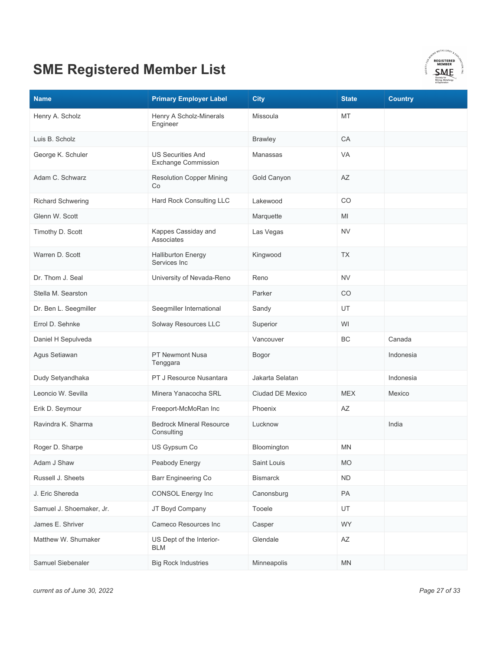

| <b>Name</b>              | <b>Primary Employer Label</b>                          | <b>City</b>      | <b>State</b>           | <b>Country</b> |
|--------------------------|--------------------------------------------------------|------------------|------------------------|----------------|
| Henry A. Scholz          | Henry A Scholz-Minerals<br>Engineer                    | Missoula         | МT                     |                |
| Luis B. Scholz           |                                                        | <b>Brawley</b>   | CA                     |                |
| George K. Schuler        | <b>US Securities And</b><br><b>Exchange Commission</b> | Manassas         | <b>VA</b>              |                |
| Adam C. Schwarz          | <b>Resolution Copper Mining</b><br>Co                  | Gold Canyon      | AZ                     |                |
| <b>Richard Schwering</b> | Hard Rock Consulting LLC                               | Lakewood         | CO                     |                |
| Glenn W. Scott           |                                                        | Marquette        | MI                     |                |
| Timothy D. Scott         | Kappes Cassiday and<br><b>Associates</b>               | Las Vegas        | <b>NV</b>              |                |
| Warren D. Scott          | <b>Halliburton Energy</b><br>Services Inc              | Kingwood         | <b>TX</b>              |                |
| Dr. Thom J. Seal         | University of Nevada-Reno                              | Reno             | <b>NV</b>              |                |
| Stella M. Searston       |                                                        | Parker           | CO                     |                |
| Dr. Ben L. Seegmiller    | Seegmiller International                               | Sandy            | UT                     |                |
| Errol D. Sehnke          | Solway Resources LLC                                   | Superior         | WI                     |                |
| Daniel H Sepulveda       |                                                        | Vancouver        | <b>BC</b>              | Canada         |
| Agus Setiawan            | PT Newmont Nusa<br>Tenggara                            | Bogor            |                        | Indonesia      |
| Dudy Setyandhaka         | PT J Resource Nusantara                                | Jakarta Selatan  |                        | Indonesia      |
| Leoncio W. Sevilla       | Minera Yanacocha SRL                                   | Ciudad DE Mexico | <b>MEX</b>             | Mexico         |
| Erik D. Seymour          | Freeport-McMoRan Inc                                   | Phoenix          | AZ                     |                |
| Ravindra K. Sharma       | <b>Bedrock Mineral Resource</b><br>Consulting          | Lucknow          |                        | India          |
| Roger D. Sharpe          | US Gypsum Co                                           | Bloomington      | <b>MN</b>              |                |
| Adam J Shaw              | Peabody Energy                                         | Saint Louis      | <b>MO</b>              |                |
| Russell J. Sheets        | Barr Engineering Co                                    | <b>Bismarck</b>  | <b>ND</b>              |                |
| J. Eric Shereda          | <b>CONSOL Energy Inc</b>                               | Canonsburg       | PA                     |                |
| Samuel J. Shoemaker, Jr. | JT Boyd Company                                        | Tooele           | UT                     |                |
| James E. Shriver         | Cameco Resources Inc                                   | Casper           | WY                     |                |
| Matthew W. Shumaker      | US Dept of the Interior-<br><b>BLM</b>                 | Glendale         | $\mathsf{A}\mathsf{Z}$ |                |
| Samuel Siebenaler        | <b>Big Rock Industries</b>                             | Minneapolis      | MN                     |                |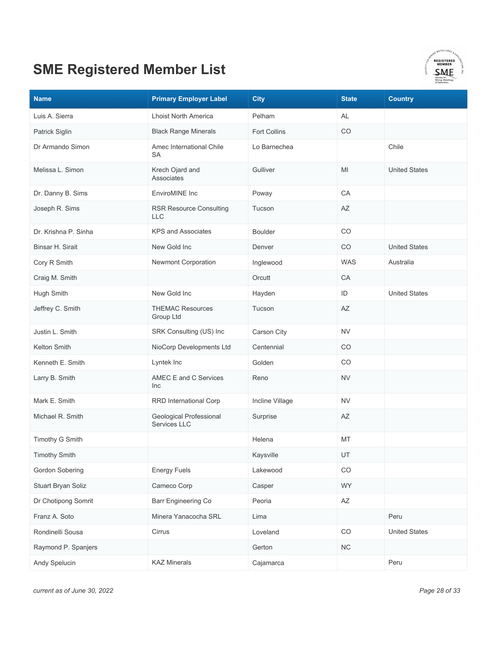

| <b>Name</b>          | <b>Primary Employer Label</b>           | <b>City</b>         | <b>State</b>           | <b>Country</b>       |
|----------------------|-----------------------------------------|---------------------|------------------------|----------------------|
| Luis A. Sierra       | <b>Lhoist North America</b>             | Pelham              | AL                     |                      |
| Patrick Siglin       | <b>Black Range Minerals</b>             | <b>Fort Collins</b> | CO                     |                      |
| Dr Armando Simon     | Amec International Chile<br>SA          | Lo Barnechea        |                        | Chile                |
| Melissa L. Simon     | Krech Ojard and<br><b>Associates</b>    | Gulliver            | MI                     | <b>United States</b> |
| Dr. Danny B. Sims    | EnviroMINE Inc                          | Poway               | CA                     |                      |
| Joseph R. Sims       | <b>RSR Resource Consulting</b><br>LLC   | Tucson              | AZ                     |                      |
| Dr. Krishna P. Sinha | <b>KPS and Associates</b>               | <b>Boulder</b>      | CO                     |                      |
| Binsar H. Sirait     | New Gold Inc                            | Denver              | CO                     | <b>United States</b> |
| Cory R Smith         | Newmont Corporation                     | Inglewood           | <b>WAS</b>             | Australia            |
| Craig M. Smith       |                                         | Orcutt              | CA                     |                      |
| Hugh Smith           | New Gold Inc                            | Hayden              | ID                     | <b>United States</b> |
| Jeffrey C. Smith     | <b>THEMAC Resources</b><br>Group Ltd    | Tucson              | AZ                     |                      |
| Justin L. Smith      | SRK Consulting (US) Inc                 | Carson City         | <b>NV</b>              |                      |
| Kelton Smith         | NioCorp Developments Ltd                | Centennial          | CO                     |                      |
| Kenneth E. Smith     | Lyntek Inc                              | Golden              | CO                     |                      |
| Larry B. Smith       | AMEC E and C Services<br>Inc            | Reno                | <b>NV</b>              |                      |
| Mark E. Smith        | RRD International Corp                  | Incline Village     | <b>NV</b>              |                      |
| Michael R. Smith     | Geological Professional<br>Services LLC | Surprise            | AZ                     |                      |
| Timothy G Smith      |                                         | Helena              | МT                     |                      |
| <b>Timothy Smith</b> |                                         | Kaysville           | UT                     |                      |
| Gordon Sobering      | <b>Energy Fuels</b>                     | Lakewood            | CO                     |                      |
| Stuart Bryan Soliz   | Cameco Corp                             | Casper              | WY                     |                      |
| Dr Chotipong Somrit  | Barr Engineering Co                     | Peoria              | $\mathsf{A}\mathsf{Z}$ |                      |
| Franz A. Soto        | Minera Yanacocha SRL                    | Lima                |                        | Peru                 |
| Rondinelli Sousa     | Cirrus                                  | Loveland            | $_{\rm CO}$            | <b>United States</b> |
| Raymond P. Spanjers  |                                         | Gerton              | ${\sf NC}$             |                      |
| Andy Spelucin        | <b>KAZ Minerals</b>                     | Cajamarca           |                        | Peru                 |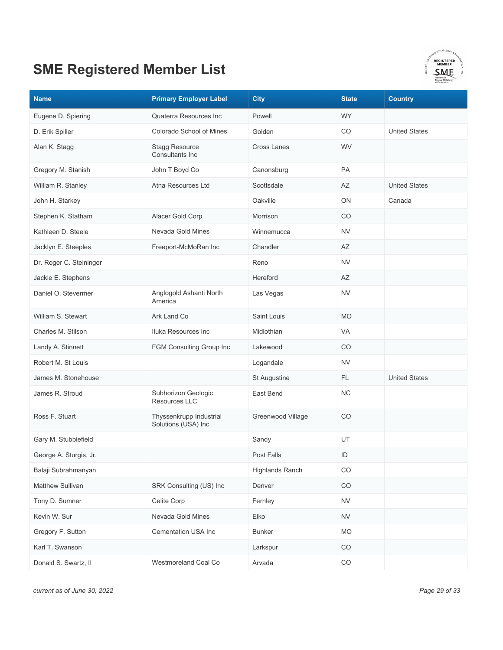

| <b>Name</b>             | <b>Primary Employer Label</b>                  | <b>City</b>            | <b>State</b> | <b>Country</b>       |
|-------------------------|------------------------------------------------|------------------------|--------------|----------------------|
| Eugene D. Spiering      | Quaterra Resources Inc                         | Powell                 | <b>WY</b>    |                      |
| D. Erik Spiller         | Colorado School of Mines                       | Golden                 | CO           | <b>United States</b> |
| Alan K. Stagg           | <b>Stagg Resource</b><br>Consultants Inc       | <b>Cross Lanes</b>     | WV           |                      |
| Gregory M. Stanish      | John T Boyd Co                                 | Canonsburg             | PA           |                      |
| William R. Stanley      | Atna Resources Ltd                             | Scottsdale             | AZ           | <b>United States</b> |
| John H. Starkey         |                                                | Oakville               | ON           | Canada               |
| Stephen K. Statham      | Alacer Gold Corp                               | Morrison               | CO           |                      |
| Kathleen D. Steele      | Nevada Gold Mines                              | Winnemucca             | <b>NV</b>    |                      |
| Jacklyn E. Steeples     | Freeport-McMoRan Inc                           | Chandler               | AZ           |                      |
| Dr. Roger C. Steininger |                                                | Reno                   | <b>NV</b>    |                      |
| Jackie E. Stephens      |                                                | Hereford               | AZ           |                      |
| Daniel O. Stevermer     | Anglogold Ashanti North<br>America             | Las Vegas              | <b>NV</b>    |                      |
| William S. Stewart      | Ark Land Co                                    | Saint Louis            | <b>MO</b>    |                      |
| Charles M. Stilson      | Iluka Resources Inc                            | Midlothian             | VA           |                      |
| Landy A. Stinnett       | FGM Consulting Group Inc                       | Lakewood               | CO           |                      |
| Robert M. St Louis      |                                                | Logandale              | <b>NV</b>    |                      |
| James M. Stonehouse     |                                                | St Augustine           | FL.          | <b>United States</b> |
| James R. Stroud         | Subhorizon Geologic<br>Resources LLC           | East Bend              | <b>NC</b>    |                      |
| Ross F. Stuart          | Thyssenkrupp Industrial<br>Solutions (USA) Inc | Greenwood Village      | CO           |                      |
| Gary M. Stubblefield    |                                                | Sandy                  | UT           |                      |
| George A. Sturgis, Jr.  |                                                | Post Falls             | ID           |                      |
| Balaji Subrahmanyan     |                                                | <b>Highlands Ranch</b> | CO           |                      |
| Matthew Sullivan        | SRK Consulting (US) Inc                        | Denver                 | CO           |                      |
| Tony D. Sumner          | Celite Corp                                    | Fernley                | <b>NV</b>    |                      |
| Kevin W. Sur            | Nevada Gold Mines                              | Elko                   | <b>NV</b>    |                      |
| Gregory F. Sutton       | Cementation USA Inc                            | <b>Bunker</b>          | <b>MO</b>    |                      |
| Karl T. Swanson         |                                                | Larkspur               | CO           |                      |
| Donald S. Swartz, II    | Westmoreland Coal Co                           | Arvada                 | $_{\rm CO}$  |                      |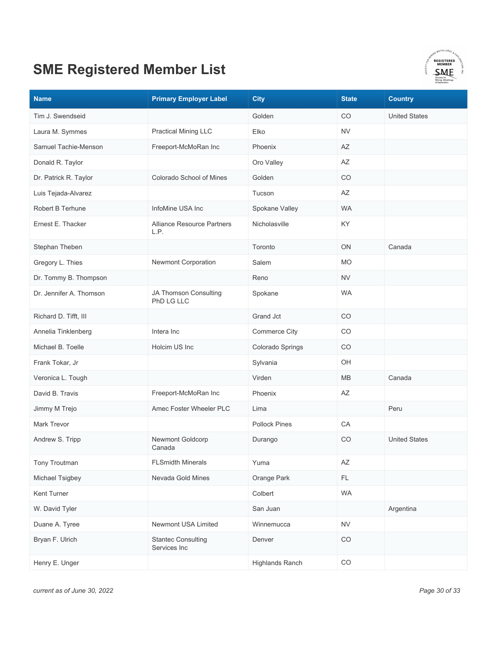

| <b>Name</b>             | <b>Primary Employer Label</b>             | <b>City</b>            | <b>State</b> | <b>Country</b>       |
|-------------------------|-------------------------------------------|------------------------|--------------|----------------------|
| Tim J. Swendseid        |                                           | Golden                 | CO           | <b>United States</b> |
| Laura M. Symmes         | <b>Practical Mining LLC</b>               | Elko                   | <b>NV</b>    |                      |
| Samuel Tachie-Menson    | Freeport-McMoRan Inc                      | Phoenix                | AZ           |                      |
| Donald R. Taylor        |                                           | Oro Valley             | AZ           |                      |
| Dr. Patrick R. Taylor   | Colorado School of Mines                  | Golden                 | CO           |                      |
| Luis Tejada-Alvarez     |                                           | Tucson                 | AΖ           |                      |
| Robert B Terhune        | InfoMine USA Inc                          | Spokane Valley         | <b>WA</b>    |                      |
| Ernest E. Thacker       | Alliance Resource Partners<br>L.P.        | Nicholasville          | KY           |                      |
| Stephan Theben          |                                           | Toronto                | ON           | Canada               |
| Gregory L. Thies        | Newmont Corporation                       | Salem                  | <b>MO</b>    |                      |
| Dr. Tommy B. Thompson   |                                           | Reno                   | <b>NV</b>    |                      |
| Dr. Jennifer A. Thomson | JA Thomson Consulting<br>PhD LG LLC       | Spokane                | <b>WA</b>    |                      |
| Richard D. Tifft, III   |                                           | Grand Jct              | CO           |                      |
| Annelia Tinklenberg     | Intera Inc                                | <b>Commerce City</b>   | CO           |                      |
| Michael B. Toelle       | Holcim US Inc                             | Colorado Springs       | CO           |                      |
| Frank Tokar, Jr         |                                           | Sylvania               | OH           |                      |
| Veronica L. Tough       |                                           | Virden                 | MB           | Canada               |
| David B. Travis         | Freeport-McMoRan Inc                      | Phoenix                | AZ           |                      |
| Jimmy M Trejo           | Amec Foster Wheeler PLC                   | Lima                   |              | Peru                 |
| Mark Trevor             |                                           | <b>Pollock Pines</b>   | CA           |                      |
| Andrew S. Tripp         | Newmont Goldcorp<br>Canada                | Durango                | CO           | <b>United States</b> |
| Tony Troutman           | <b>FLSmidth Minerals</b>                  | Yuma                   | AZ           |                      |
| Michael Tsigbey         | Nevada Gold Mines                         | Orange Park            | FL.          |                      |
| Kent Turner             |                                           | Colbert                | <b>WA</b>    |                      |
| W. David Tyler          |                                           | San Juan               |              | Argentina            |
| Duane A. Tyree          | Newmont USA Limited                       | Winnemucca             | <b>NV</b>    |                      |
| Bryan F. Ulrich         | <b>Stantec Consulting</b><br>Services Inc | Denver                 | $_{\rm CO}$  |                      |
| Henry E. Unger          |                                           | <b>Highlands Ranch</b> | $_{\rm CO}$  |                      |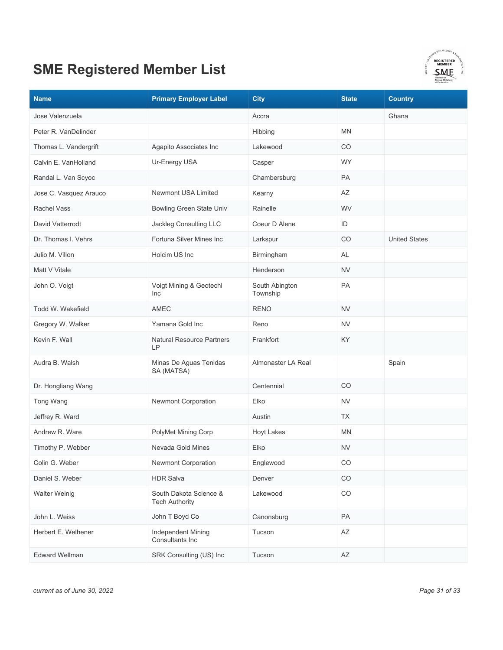

| <b>Name</b>            | <b>Primary Employer Label</b>                   | <b>City</b>                | <b>State</b> | <b>Country</b>       |
|------------------------|-------------------------------------------------|----------------------------|--------------|----------------------|
| Jose Valenzuela        |                                                 | Accra                      |              | Ghana                |
| Peter R. VanDelinder   |                                                 | Hibbing                    | <b>MN</b>    |                      |
| Thomas L. Vandergrift  | Agapito Associates Inc                          | Lakewood                   | CO.          |                      |
| Calvin E. VanHolland   | Ur-Energy USA                                   | Casper                     | <b>WY</b>    |                      |
| Randal L. Van Scyoc    |                                                 | Chambersburg               | <b>PA</b>    |                      |
| Jose C. Vasquez Arauco | Newmont USA Limited                             | Kearny                     | AZ           |                      |
| <b>Rachel Vass</b>     | <b>Bowling Green State Univ</b>                 | Rainelle                   | <b>WV</b>    |                      |
| David Vatterrodt       | Jackleg Consulting LLC                          | Coeur D Alene              | ID           |                      |
| Dr. Thomas I. Vehrs    | Fortuna Silver Mines Inc                        | Larkspur                   | CO           | <b>United States</b> |
| Julio M. Villon        | Holcim US Inc                                   | Birmingham                 | AL           |                      |
| Matt V Vitale          |                                                 | Henderson                  | <b>NV</b>    |                      |
| John O. Voigt          | Voigt Mining & Geotechl<br><b>Inc</b>           | South Abington<br>Township | PA           |                      |
| Todd W. Wakefield      | <b>AMEC</b>                                     | <b>RENO</b>                | <b>NV</b>    |                      |
| Gregory W. Walker      | Yamana Gold Inc                                 | Reno                       | <b>NV</b>    |                      |
| Kevin F. Wall          | <b>Natural Resource Partners</b><br>LP          | Frankfort                  | KY           |                      |
| Audra B. Walsh         | Minas De Aguas Tenidas<br>SA (MATSA)            | Almonaster LA Real         |              | Spain                |
| Dr. Hongliang Wang     |                                                 | Centennial                 | CO.          |                      |
| Tong Wang              | Newmont Corporation                             | Elko                       | <b>NV</b>    |                      |
| Jeffrey R. Ward        |                                                 | Austin                     | <b>TX</b>    |                      |
| Andrew R. Ware         | PolyMet Mining Corp                             | <b>Hoyt Lakes</b>          | <b>MN</b>    |                      |
| Timothy P. Webber      | Nevada Gold Mines                               | Elko                       | <b>NV</b>    |                      |
| Colin G. Weber         | Newmont Corporation                             | Englewood                  | CO           |                      |
| Daniel S. Weber        | <b>HDR Salva</b>                                | Denver                     | CO           |                      |
| <b>Walter Weinig</b>   | South Dakota Science &<br><b>Tech Authority</b> | Lakewood                   | CO           |                      |
| John L. Weiss          | John T Boyd Co                                  | Canonsburg                 | PA           |                      |
| Herbert E. Welhener    | Independent Mining<br>Consultants Inc           | Tucson                     | AZ           |                      |
| <b>Edward Wellman</b>  | SRK Consulting (US) Inc                         | Tucson                     | AZ           |                      |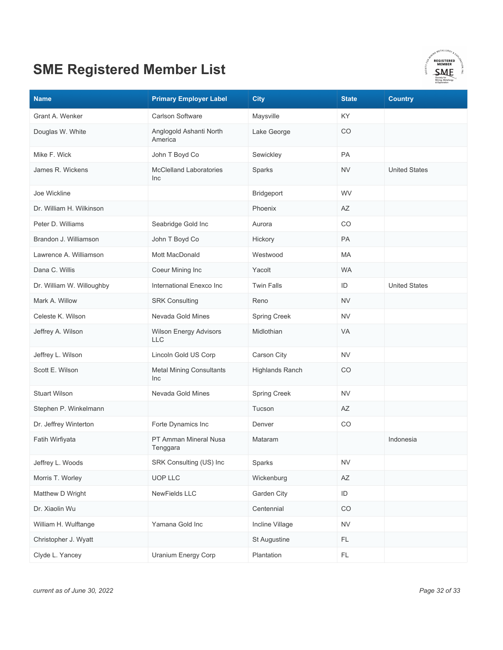

| <b>Name</b>               | <b>Primary Employer Label</b>          | <b>City</b>         | <b>State</b>           | <b>Country</b>       |
|---------------------------|----------------------------------------|---------------------|------------------------|----------------------|
| Grant A. Wenker           | <b>Carlson Software</b>                | Maysville           | KY.                    |                      |
| Douglas W. White          | Anglogold Ashanti North<br>America     | Lake George         | CO                     |                      |
| Mike F. Wick              | John T Boyd Co                         | Sewickley           | PA                     |                      |
| James R. Wickens          | <b>McClelland Laboratories</b><br>Inc  | Sparks              | <b>NV</b>              | <b>United States</b> |
| Joe Wickline              |                                        | Bridgeport          | <b>WV</b>              |                      |
| Dr. William H. Wilkinson  |                                        | Phoenix             | AZ                     |                      |
| Peter D. Williams         | Seabridge Gold Inc                     | Aurora              | CO                     |                      |
| Brandon J. Williamson     | John T Boyd Co                         | Hickory             | <b>PA</b>              |                      |
| Lawrence A. Williamson    | Mott MacDonald                         | Westwood            | MA                     |                      |
| Dana C. Willis            | Coeur Mining Inc                       | Yacolt              | <b>WA</b>              |                      |
| Dr. William W. Willoughby | International Enexco Inc               | <b>Twin Falls</b>   | ID                     | <b>United States</b> |
| Mark A. Willow            | <b>SRK Consulting</b>                  | Reno                | <b>NV</b>              |                      |
| Celeste K. Wilson         | Nevada Gold Mines                      | Spring Creek        | <b>NV</b>              |                      |
| Jeffrey A. Wilson         | Wilson Energy Advisors<br><b>LLC</b>   | Midlothian          | <b>VA</b>              |                      |
| Jeffrey L. Wilson         | Lincoln Gold US Corp                   | Carson City         | <b>NV</b>              |                      |
| Scott E. Wilson           | <b>Metal Mining Consultants</b><br>Inc | Highlands Ranch     | CO                     |                      |
| <b>Stuart Wilson</b>      | Nevada Gold Mines                      | <b>Spring Creek</b> | <b>NV</b>              |                      |
| Stephen P. Winkelmann     |                                        | Tucson              | AΖ                     |                      |
| Dr. Jeffrey Winterton     | Forte Dynamics Inc                     | Denver              | CO                     |                      |
| Fatih Wirfiyata           | PT Amman Mineral Nusa<br>Tenggara      | Mataram             |                        | Indonesia            |
| Jeffrey L. Woods          | SRK Consulting (US) Inc                | Sparks              | <b>NV</b>              |                      |
| Morris T. Worley          | UOP LLC                                | Wickenburg          | $\mathsf{A}\mathsf{Z}$ |                      |
| Matthew D Wright          | NewFields LLC                          | Garden City         | $\mathsf{ID}$          |                      |
| Dr. Xiaolin Wu            |                                        | Centennial          | CO                     |                      |
| William H. Wulftange      | Yamana Gold Inc                        | Incline Village     | ${\sf NV}$             |                      |
| Christopher J. Wyatt      |                                        | St Augustine        | <b>FL</b>              |                      |
| Clyde L. Yancey           | Uranium Energy Corp                    | Plantation          | $\mathsf{FL}$          |                      |